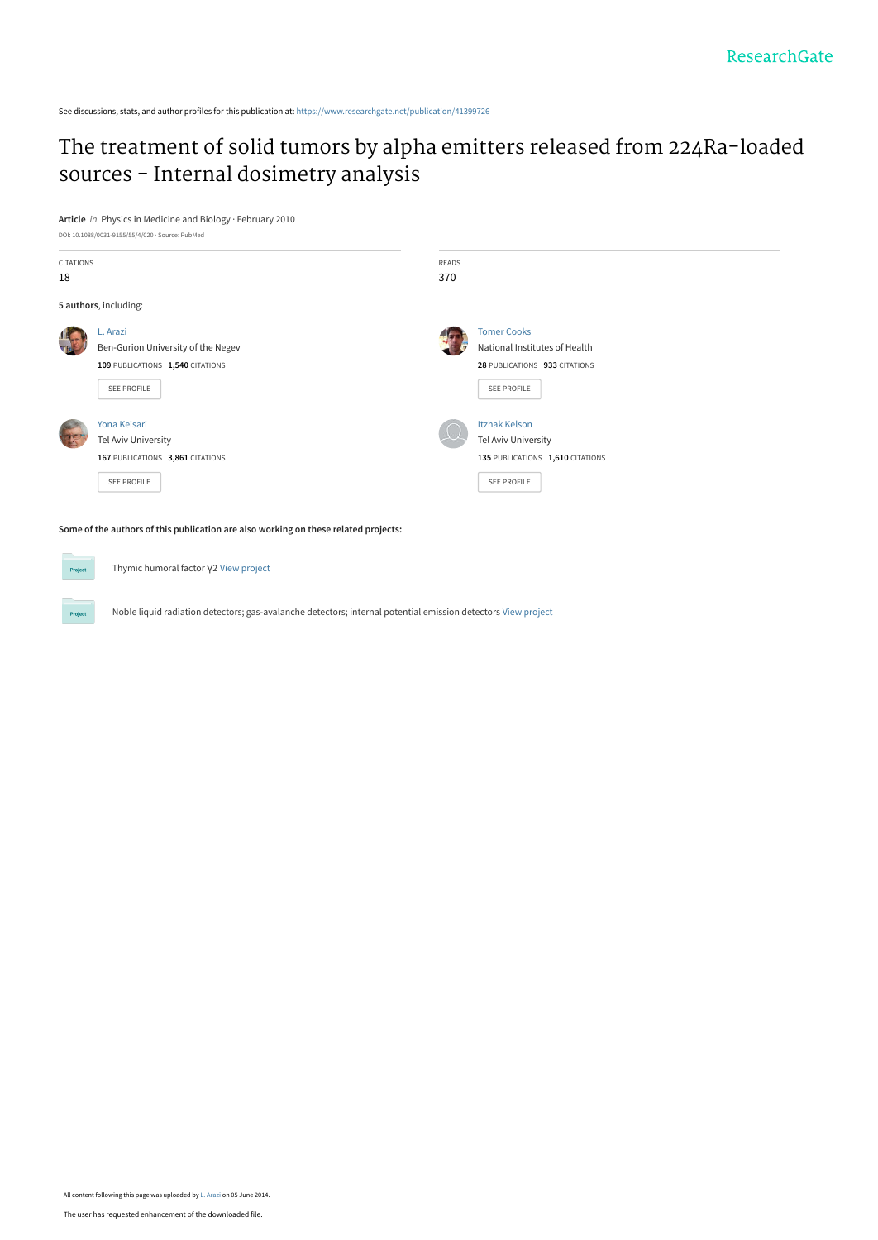See discussions, stats, and author profiles for this publication at: [https://www.researchgate.net/publication/41399726](https://www.researchgate.net/publication/41399726_The_treatment_of_solid_tumors_by_alpha_emitters_released_from_224Ra-loaded_sources_-_Internal_dosimetry_analysis?enrichId=rgreq-10297e28bb710e94231e29dfdab87c27-XXX&enrichSource=Y292ZXJQYWdlOzQxMzk5NzI2O0FTOjEwNDU4Njk3MDkyNzEyN0AxNDAxOTQ2ODg1ODI2&el=1_x_2&_esc=publicationCoverPdf)

# [The treatment of solid tumors by alpha emitters released from 224Ra-loaded](https://www.researchgate.net/publication/41399726_The_treatment_of_solid_tumors_by_alpha_emitters_released_from_224Ra-loaded_sources_-_Internal_dosimetry_analysis?enrichId=rgreq-10297e28bb710e94231e29dfdab87c27-XXX&enrichSource=Y292ZXJQYWdlOzQxMzk5NzI2O0FTOjEwNDU4Njk3MDkyNzEyN0AxNDAxOTQ2ODg1ODI2&el=1_x_3&_esc=publicationCoverPdf) sources - Internal dosimetry analysis

**Article** in Physics in Medicine and Biology · February 2010



**Some of the authors of this publication are also working on these related projects:**

Thymic humoral factor γ2 [View project](https://www.researchgate.net/project/Thymic-humoral-factor-g2?enrichId=rgreq-10297e28bb710e94231e29dfdab87c27-XXX&enrichSource=Y292ZXJQYWdlOzQxMzk5NzI2O0FTOjEwNDU4Njk3MDkyNzEyN0AxNDAxOTQ2ODg1ODI2&el=1_x_9&_esc=publicationCoverPdf)

Noble liquid radiation detectors; gas-avalanche detectors; internal potential emission detectors [View project](https://www.researchgate.net/project/Noble-liquid-radiation-detectors-gas-avalanche-detectors-internal-potential-emission-detectors?enrichId=rgreq-10297e28bb710e94231e29dfdab87c27-XXX&enrichSource=Y292ZXJQYWdlOzQxMzk5NzI2O0FTOjEwNDU4Njk3MDkyNzEyN0AxNDAxOTQ2ODg1ODI2&el=1_x_9&_esc=publicationCoverPdf)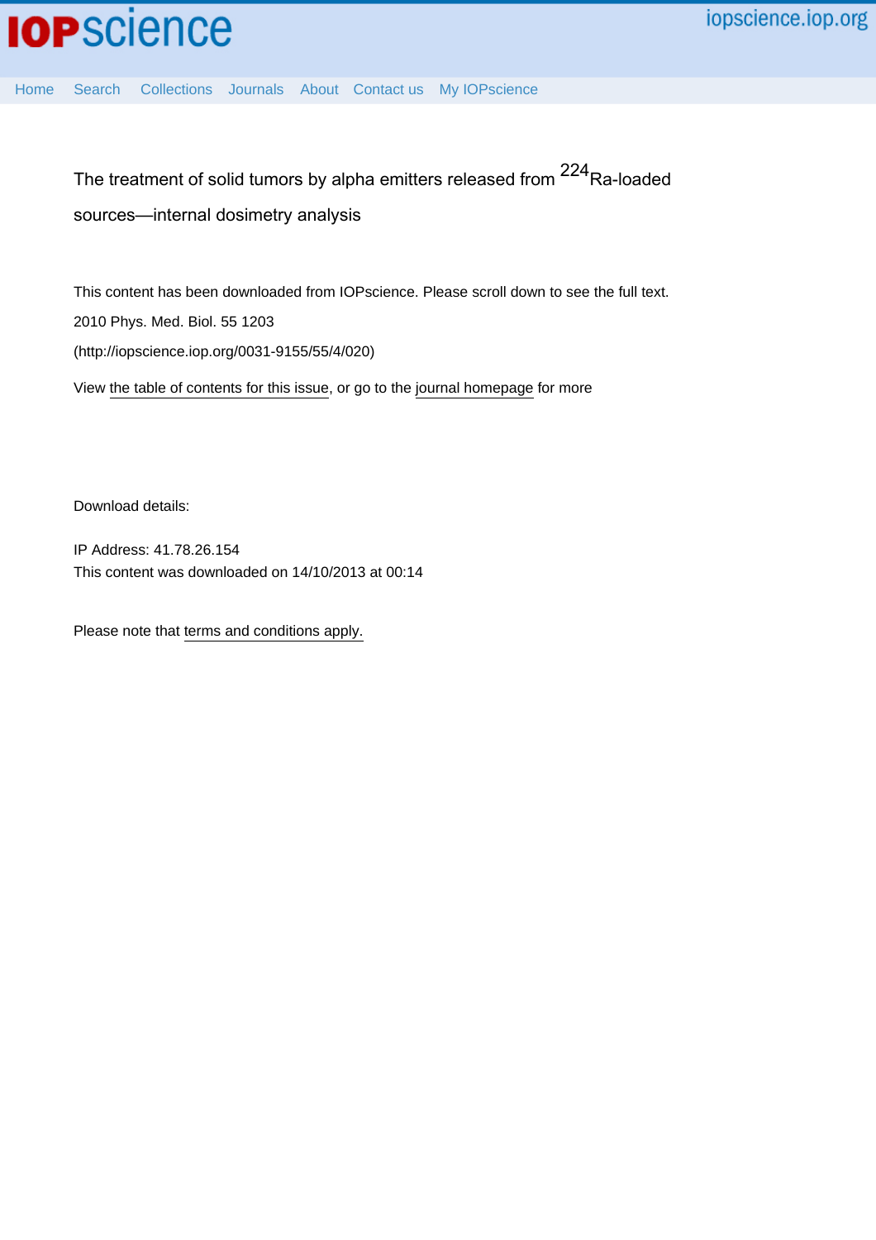[Home](http://iopscience.iop.org/) [Search](http://iopscience.iop.org/search) [Collections](http://iopscience.iop.org/collections) [Journals](http://iopscience.iop.org/journals) [About](http://iopscience.iop.org/page/aboutioppublishing) [Contact us](http://iopscience.iop.org/contact) [My IOPscience](http://iopscience.iop.org/myiopscience)

The treatment of solid tumors by alpha emitters released from <sup>224</sup>Ra-loaded sources—internal dosimetry analysis

This content has been downloaded from IOPscience. Please scroll down to see the full text. 2010 Phys. Med. Biol. 55 1203 (http://iopscience.iop.org/0031-9155/55/4/020)

View [the table of contents for this issue](http://iopscience.iop.org/0031-9155/55/4), or go to the [journal homepage](http://iopscience.iop.org/0031-9155) for more

Download details:

IP Address: 41.78.26.154 This content was downloaded on 14/10/2013 at 00:14

Please note that [terms and conditions apply.](iopscience.iop.org/page/terms)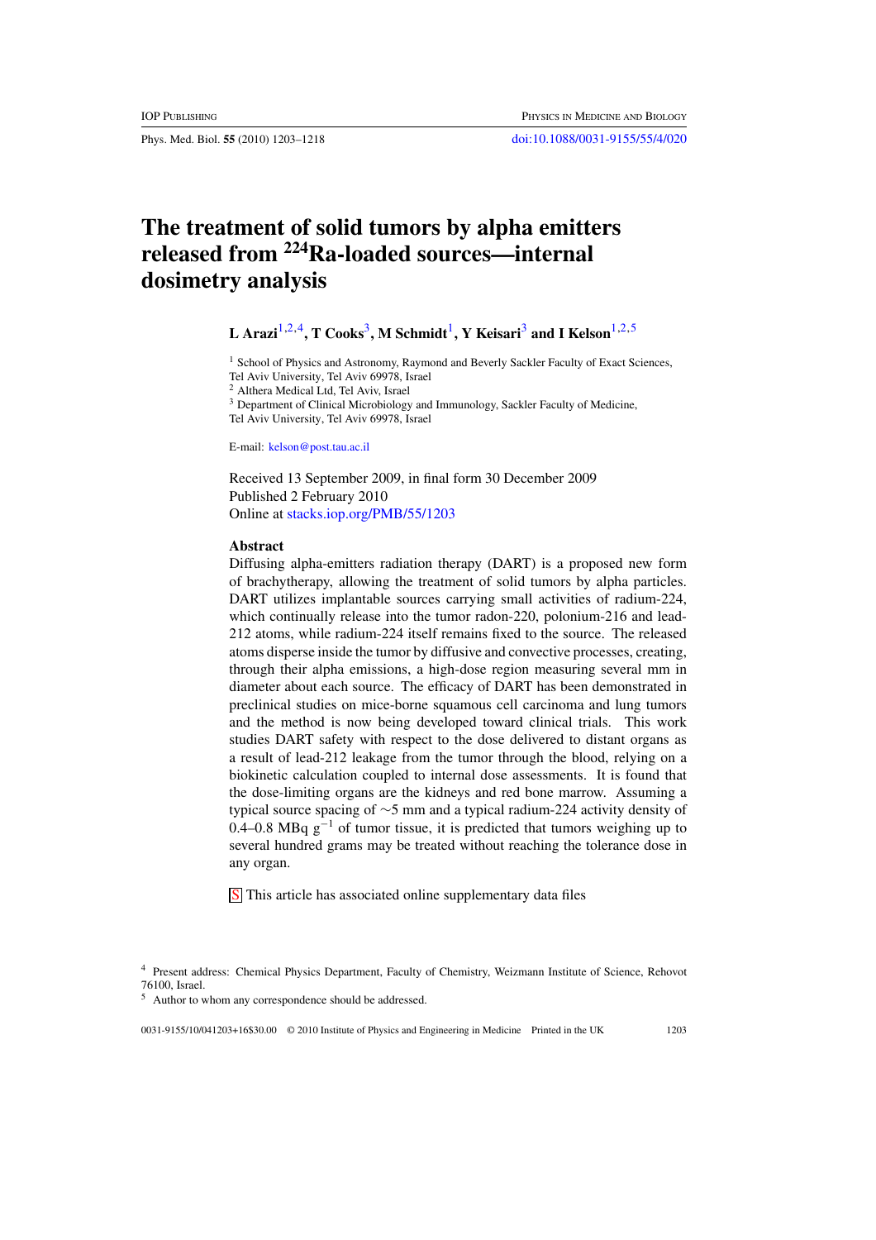Phys. Med. Biol. **55** (2010) 1203–1218 [doi:10.1088/0031-9155/55/4/020](http://dx.doi.org/10.1088/0031-9155/55/4/020)

## **The treatment of solid tumors by alpha emitters released from 224Ra-loaded sources—internal dosimetry analysis**

## **L** Arazi<sup>1,2,4</sup>**, T** Cooks<sup>3</sup>**, M** Schmidt<sup>1</sup>**, Y** Keisari<sup>3</sup> and I Kelson<sup>1,2,5</sup>

<sup>1</sup> School of Physics and Astronomy, Raymond and Beverly Sackler Faculty of Exact Sciences, Tel Aviv University, Tel Aviv 69978, Israel

<sup>2</sup> Althera Medical Ltd, Tel Aviv, Israel

<sup>3</sup> Department of Clinical Microbiology and Immunology, Sackler Faculty of Medicine, Tel Aviv University, Tel Aviv 69978, Israel

E-mail: [kelson@post.tau.ac.il](mailto:kelson@post.tau.ac.il)

Received 13 September 2009, in final form 30 December 2009 Published 2 February 2010 Online at [stacks.iop.org/PMB/55/1203](http://stacks.iop.org/PMB/55/1203)

#### **Abstract**

Diffusing alpha-emitters radiation therapy (DART) is a proposed new form of brachytherapy, allowing the treatment of solid tumors by alpha particles. DART utilizes implantable sources carrying small activities of radium-224, which continually release into the tumor radon-220, polonium-216 and lead-212 atoms, while radium-224 itself remains fixed to the source. The released atoms disperse inside the tumor by diffusive and convective processes, creating, through their alpha emissions, a high-dose region measuring several mm in diameter about each source. The efficacy of DART has been demonstrated in preclinical studies on mice-borne squamous cell carcinoma and lung tumors and the method is now being developed toward clinical trials. This work studies DART safety with respect to the dose delivered to distant organs as a result of lead-212 leakage from the tumor through the blood, relying on a biokinetic calculation coupled to internal dose assessments. It is found that the dose-limiting organs are the kidneys and red bone marrow. Assuming a typical source spacing of ∼5 mm and a typical radium-224 activity density of 0.4–0.8 MBq  $g^{-1}$  of tumor tissue, it is predicted that tumors weighing up to several hundred grams may be treated without reaching the tolerance dose in any organ.

**S** This article has associated online supplementary data files

0031-9155/10/041203+16\$30.00 © 2010 Institute of Physics and Engineering in Medicine Printed in the UK 1203

<sup>4</sup> Present address: Chemical Physics Department, Faculty of Chemistry, Weizmann Institute of Science, Rehovot 76100, Israel.

Author to whom any correspondence should be addressed.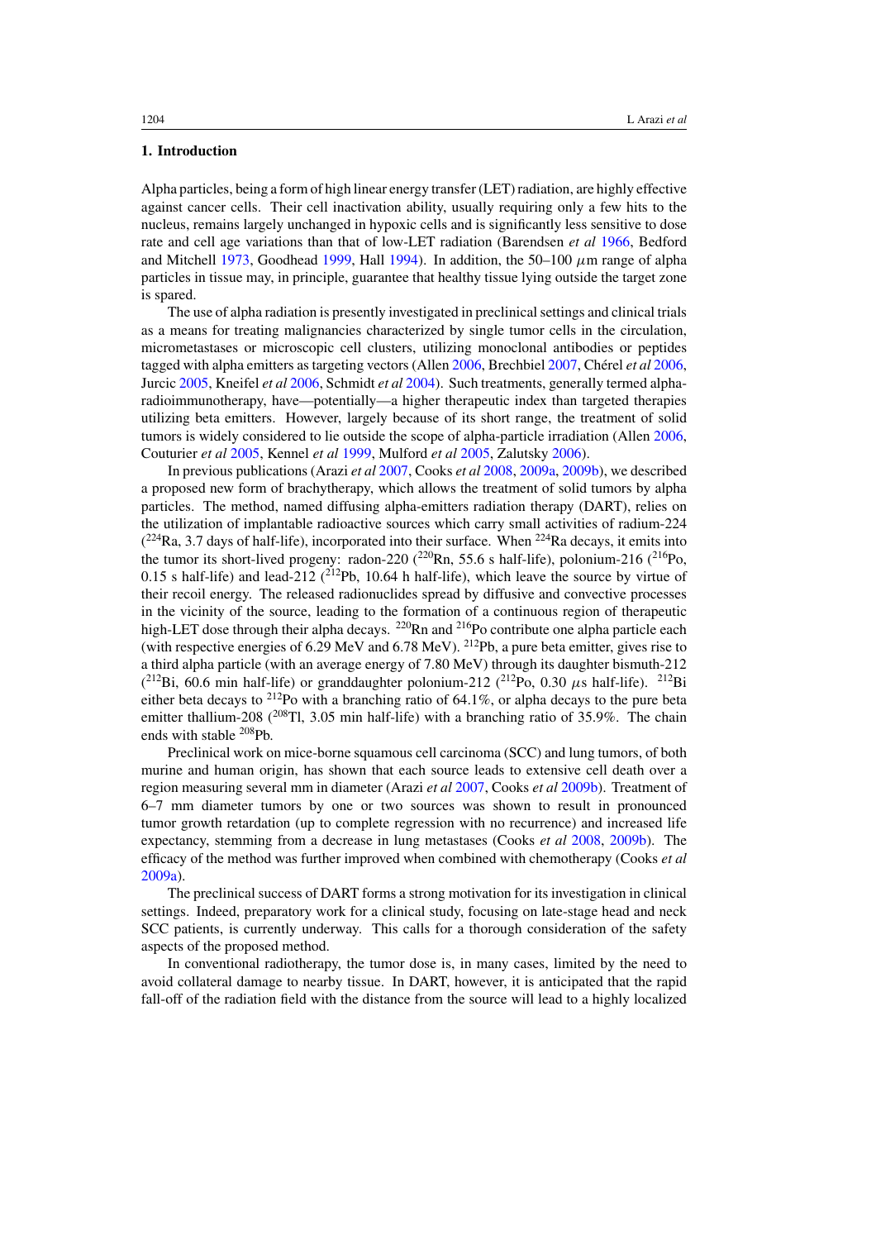## **1. Introduction**

Alpha particles, being a form of high linear energy transfer (LET) radiation, are highly effective against cancer cells. Their cell inactivation ability, usually requiring only a few hits to the nucleus, remains largely unchanged in hypoxic cells and is significantly less sensitive to dose rate and cell age variations than that of low-LET radiation (Barendsen *et al* [1966,](#page-16-0) Bedford and Mitchell [1973,](#page-16-0) Goodhead [1999,](#page-16-0) Hall [1994](#page-16-0)). In addition, the 50–100  $\mu$ m range of alpha particles in tissue may, in principle, guarantee that healthy tissue lying outside the target zone is spared.

The use of alpha radiation is presently investigated in preclinical settings and clinical trials as a means for treating malignancies characterized by single tumor cells in the circulation, micrometastases or microscopic cell clusters, utilizing monoclonal antibodies or peptides tagged with alpha emitters as targeting vectors (Allen [2006](#page-16-0), Brechbiel [2007](#page-16-0), Chérel *et al* 2006, Jurcic [2005,](#page-16-0) Kneifel *et al* [2006,](#page-16-0) Schmidt *et al* [2004\)](#page-16-0). Such treatments, generally termed alpharadioimmunotherapy, have—potentially—a higher therapeutic index than targeted therapies utilizing beta emitters. However, largely because of its short range, the treatment of solid tumors is widely considered to lie outside the scope of alpha-particle irradiation (Allen [2006](#page-16-0), Couturier *et al* [2005](#page-16-0), Kennel *et al* [1999](#page-16-0), Mulford *et al* [2005,](#page-16-0) Zalutsky [2006\)](#page-17-0).

In previous publications (Arazi *et al* [2007](#page-16-0), Cooks *et al* [2008](#page-16-0), [2009a](#page-16-0), [2009b\)](#page-16-0), we described a proposed new form of brachytherapy, which allows the treatment of solid tumors by alpha particles. The method, named diffusing alpha-emitters radiation therapy (DART), relies on the utilization of implantable radioactive sources which carry small activities of radium-224  $(^{224}$ Ra, 3.7 days of half-life), incorporated into their surface. When  $^{224}$ Ra decays, it emits into the tumor its short-lived progeny: radon-220  $(^{220}Rn, 55.6$  s half-life), polonium-216  $(^{216}Po,$ 0.15 s half-life) and lead-212  $(^{212}Pb, 10.64$  h half-life), which leave the source by virtue of their recoil energy. The released radionuclides spread by diffusive and convective processes in the vicinity of the source, leading to the formation of a continuous region of therapeutic high-LET dose through their alpha decays. <sup>220</sup>Rn and <sup>216</sup>Po contribute one alpha particle each (with respective energies of 6.29 MeV and 6.78 MeV). <sup>212</sup>Pb, a pure beta emitter, gives rise to a third alpha particle (with an average energy of 7.80 MeV) through its daughter bismuth-212  $(^{212}$ Bi, 60.6 min half-life) or granddaughter polonium-212  $(^{212}$ Po, 0.30  $\mu$ s half-life). <sup>212</sup>Bi either beta decays to  $^{212}$ Po with a branching ratio of 64.1%, or alpha decays to the pure beta emitter thallium-208 (<sup>208</sup>Tl, 3.05 min half-life) with a branching ratio of 35.9%. The chain ends with stable 208Pb.

Preclinical work on mice-borne squamous cell carcinoma (SCC) and lung tumors, of both murine and human origin, has shown that each source leads to extensive cell death over a region measuring several mm in diameter (Arazi *et al* [2007](#page-16-0), Cooks *et al* [2009b](#page-16-0)). Treatment of 6–7 mm diameter tumors by one or two sources was shown to result in pronounced tumor growth retardation (up to complete regression with no recurrence) and increased life expectancy, stemming from a decrease in lung metastases (Cooks *et al* [2008](#page-16-0), [2009b](#page-16-0)). The efficacy of the method was further improved when combined with chemotherapy (Cooks *et al* [2009a](#page-16-0)).

The preclinical success of DART forms a strong motivation for its investigation in clinical settings. Indeed, preparatory work for a clinical study, focusing on late-stage head and neck SCC patients, is currently underway. This calls for a thorough consideration of the safety aspects of the proposed method.

In conventional radiotherapy, the tumor dose is, in many cases, limited by the need to avoid collateral damage to nearby tissue. In DART, however, it is anticipated that the rapid fall-off of the radiation field with the distance from the source will lead to a highly localized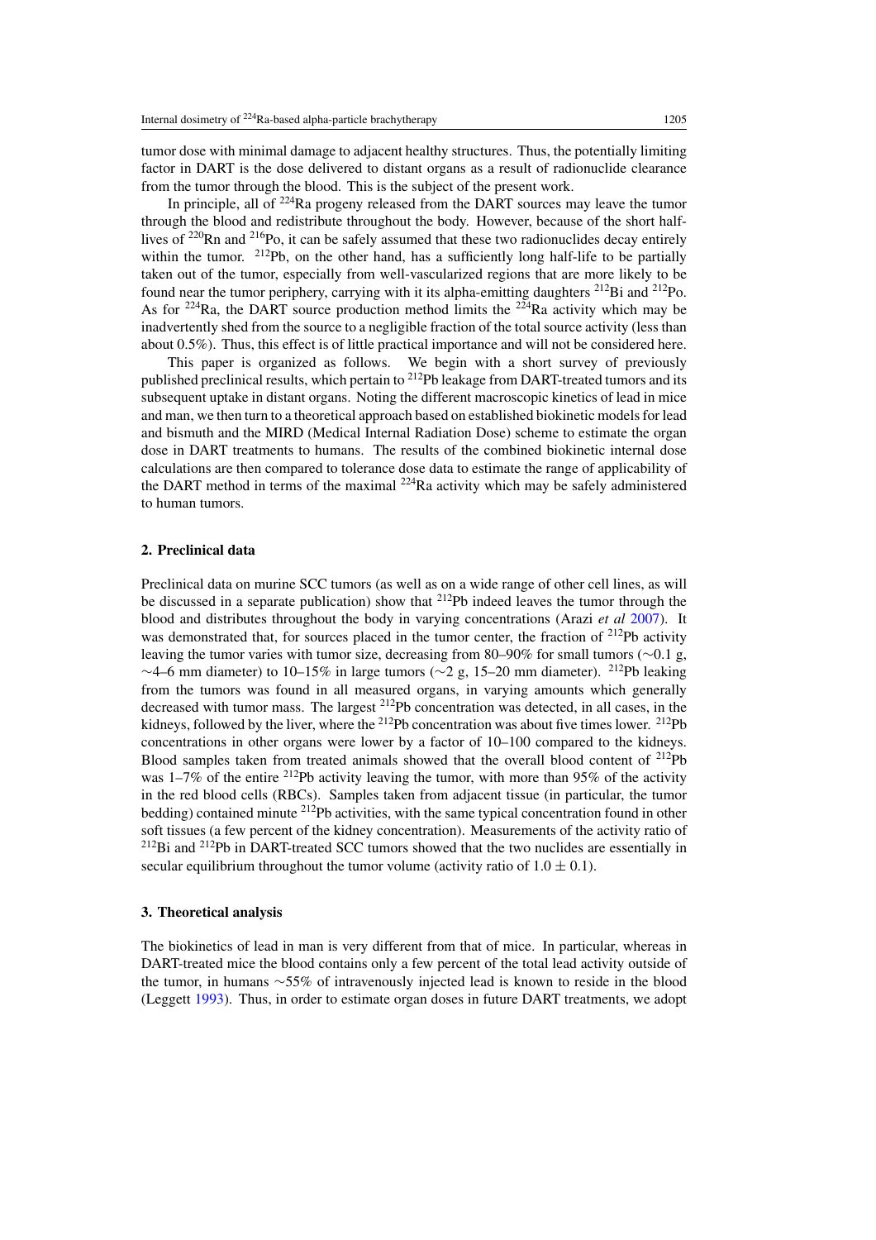tumor dose with minimal damage to adjacent healthy structures. Thus, the potentially limiting factor in DART is the dose delivered to distant organs as a result of radionuclide clearance from the tumor through the blood. This is the subject of the present work.

In principle, all of <sup>224</sup>Ra progeny released from the DART sources may leave the tumor through the blood and redistribute throughout the body. However, because of the short halflives of  $220$ Rn and  $216$ Po, it can be safely assumed that these two radionuclides decay entirely within the tumor.  $^{212}Pb$ , on the other hand, has a sufficiently long half-life to be partially taken out of the tumor, especially from well-vascularized regions that are more likely to be found near the tumor periphery, carrying with it its alpha-emitting daughters  $^{212}$ Bi and  $^{212}$ Po. As for <sup>224</sup>Ra, the DART source production method limits the <sup>224</sup>Ra activity which may be inadvertently shed from the source to a negligible fraction of the total source activity (less than about 0.5%). Thus, this effect is of little practical importance and will not be considered here.

This paper is organized as follows. We begin with a short survey of previously published preclinical results, which pertain to 212Pb leakage from DART-treated tumors and its subsequent uptake in distant organs. Noting the different macroscopic kinetics of lead in mice and man, we then turn to a theoretical approach based on established biokinetic models for lead and bismuth and the MIRD (Medical Internal Radiation Dose) scheme to estimate the organ dose in DART treatments to humans. The results of the combined biokinetic internal dose calculations are then compared to tolerance dose data to estimate the range of applicability of the DART method in terms of the maximal 224Ra activity which may be safely administered to human tumors.

## **2. Preclinical data**

Preclinical data on murine SCC tumors (as well as on a wide range of other cell lines, as will be discussed in a separate publication) show that <sup>212</sup>Pb indeed leaves the tumor through the blood and distributes throughout the body in varying concentrations (Arazi *et al* [2007](#page-16-0)). It was demonstrated that, for sources placed in the tumor center, the fraction of <sup>212</sup>Pb activity leaving the tumor varies with tumor size, decreasing from 80–90% for small tumors (∼0.1 g, <sup>∼</sup>4–6 mm diameter) to 10–15% in large tumors (∼2 g, 15–20 mm diameter). 212Pb leaking from the tumors was found in all measured organs, in varying amounts which generally decreased with tumor mass. The largest <sup>212</sup>Pb concentration was detected, in all cases, in the kidneys, followed by the liver, where the <sup>212</sup>Pb concentration was about five times lower. <sup>212</sup>Pb concentrations in other organs were lower by a factor of 10–100 compared to the kidneys. Blood samples taken from treated animals showed that the overall blood content of  $^{212}Pb$ was  $1-7\%$  of the entire <sup>212</sup>Pb activity leaving the tumor, with more than 95% of the activity in the red blood cells (RBCs). Samples taken from adjacent tissue (in particular, the tumor bedding) contained minute <sup>212</sup>Pb activities, with the same typical concentration found in other soft tissues (a few percent of the kidney concentration). Measurements of the activity ratio of  $2^{12}$ Bi and  $2^{12}$ Pb in DART-treated SCC tumors showed that the two nuclides are essentially in secular equilibrium throughout the tumor volume (activity ratio of  $1.0 \pm 0.1$ ).

## **3. Theoretical analysis**

The biokinetics of lead in man is very different from that of mice. In particular, whereas in DART-treated mice the blood contains only a few percent of the total lead activity outside of the tumor, in humans ∼55% of intravenously injected lead is known to reside in the blood (Leggett [1993](#page-16-0)). Thus, in order to estimate organ doses in future DART treatments, we adopt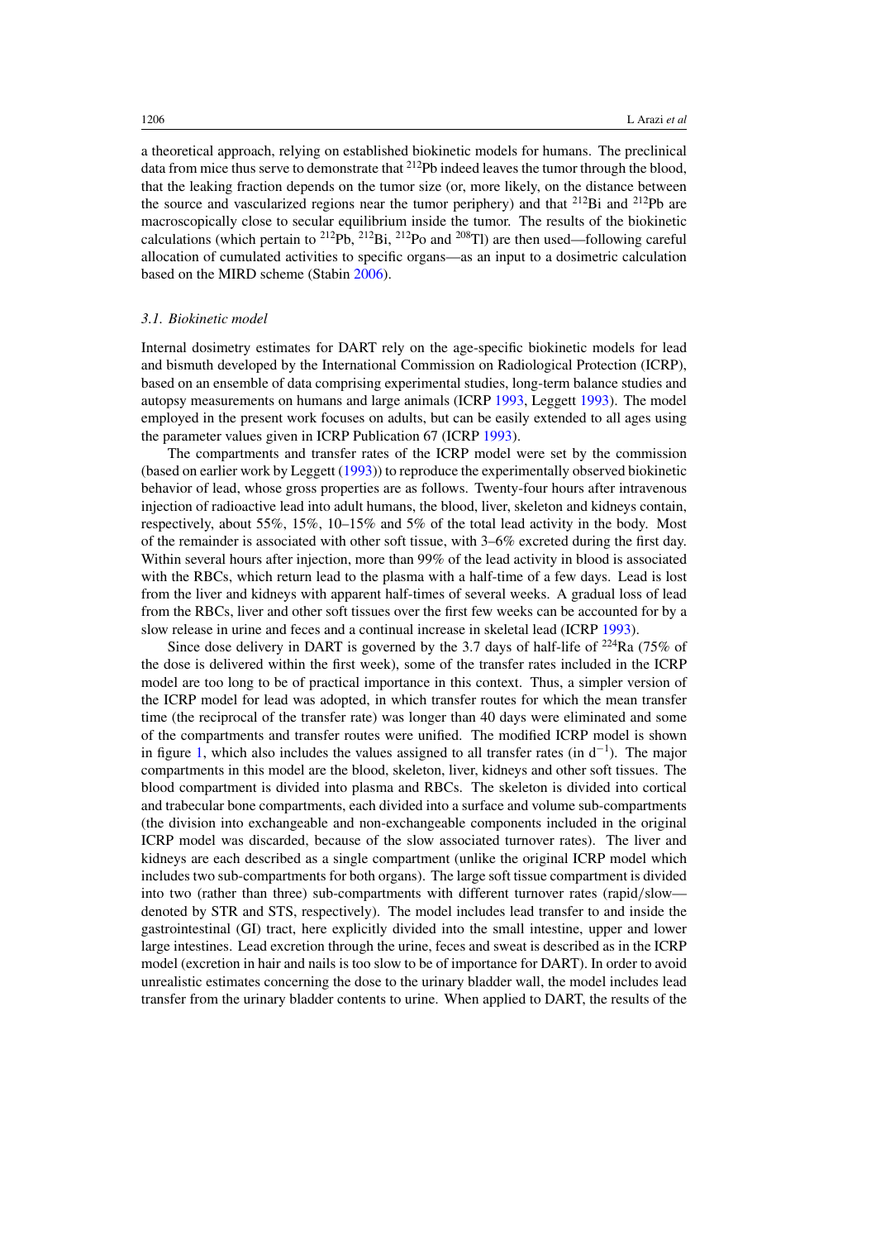a theoretical approach, relying on established biokinetic models for humans. The preclinical data from mice thus serve to demonstrate that <sup>212</sup>Pb indeed leaves the tumor through the blood, that the leaking fraction depends on the tumor size (or, more likely, on the distance between the source and vascularized regions near the tumor periphery) and that 212Bi and 212Pb are macroscopically close to secular equilibrium inside the tumor. The results of the biokinetic calculations (which pertain to <sup>212</sup>Pb, <sup>212</sup>Bi, <sup>212</sup>Po and <sup>208</sup>Tl) are then used—following careful allocation of cumulated activities to specific organs—as an input to a dosimetric calculation based on the MIRD scheme (Stabin [2006](#page-16-0)).

## *3.1. Biokinetic model*

Internal dosimetry estimates for DART rely on the age-specific biokinetic models for lead and bismuth developed by the International Commission on Radiological Protection (ICRP), based on an ensemble of data comprising experimental studies, long-term balance studies and autopsy measurements on humans and large animals (ICRP [1993](#page-16-0), Leggett [1993\)](#page-16-0). The model employed in the present work focuses on adults, but can be easily extended to all ages using the parameter values given in ICRP Publication 67 (ICRP [1993\)](#page-16-0).

The compartments and transfer rates of the ICRP model were set by the commission (based on earlier work by Leggett [\(1993](#page-16-0))) to reproduce the experimentally observed biokinetic behavior of lead, whose gross properties are as follows. Twenty-four hours after intravenous injection of radioactive lead into adult humans, the blood, liver, skeleton and kidneys contain, respectively, about 55%, 15%, 10–15% and 5% of the total lead activity in the body. Most of the remainder is associated with other soft tissue, with 3–6% excreted during the first day. Within several hours after injection, more than 99% of the lead activity in blood is associated with the RBCs, which return lead to the plasma with a half-time of a few days. Lead is lost from the liver and kidneys with apparent half-times of several weeks. A gradual loss of lead from the RBCs, liver and other soft tissues over the first few weeks can be accounted for by a slow release in urine and feces and a continual increase in skeletal lead (ICRP [1993\)](#page-16-0).

Since dose delivery in DART is governed by the 3.7 days of half-life of  $^{224}$ Ra (75% of the dose is delivered within the first week), some of the transfer rates included in the ICRP model are too long to be of practical importance in this context. Thus, a simpler version of the ICRP model for lead was adopted, in which transfer routes for which the mean transfer time (the reciprocal of the transfer rate) was longer than 40 days were eliminated and some of the compartments and transfer routes were unified. The modified ICRP model is shown in figure [1,](#page-6-0) which also includes the values assigned to all transfer rates (in d−<sup>1</sup> ). The major compartments in this model are the blood, skeleton, liver, kidneys and other soft tissues. The blood compartment is divided into plasma and RBCs. The skeleton is divided into cortical and trabecular bone compartments, each divided into a surface and volume sub-compartments (the division into exchangeable and non-exchangeable components included in the original ICRP model was discarded, because of the slow associated turnover rates). The liver and kidneys are each described as a single compartment (unlike the original ICRP model which includes two sub-compartments for both organs). The large soft tissue compartment is divided into two (rather than three) sub-compartments with different turnover rates (rapid*/*slow denoted by STR and STS, respectively). The model includes lead transfer to and inside the gastrointestinal (GI) tract, here explicitly divided into the small intestine, upper and lower large intestines. Lead excretion through the urine, feces and sweat is described as in the ICRP model (excretion in hair and nails is too slow to be of importance for DART). In order to avoid unrealistic estimates concerning the dose to the urinary bladder wall, the model includes lead transfer from the urinary bladder contents to urine. When applied to DART, the results of the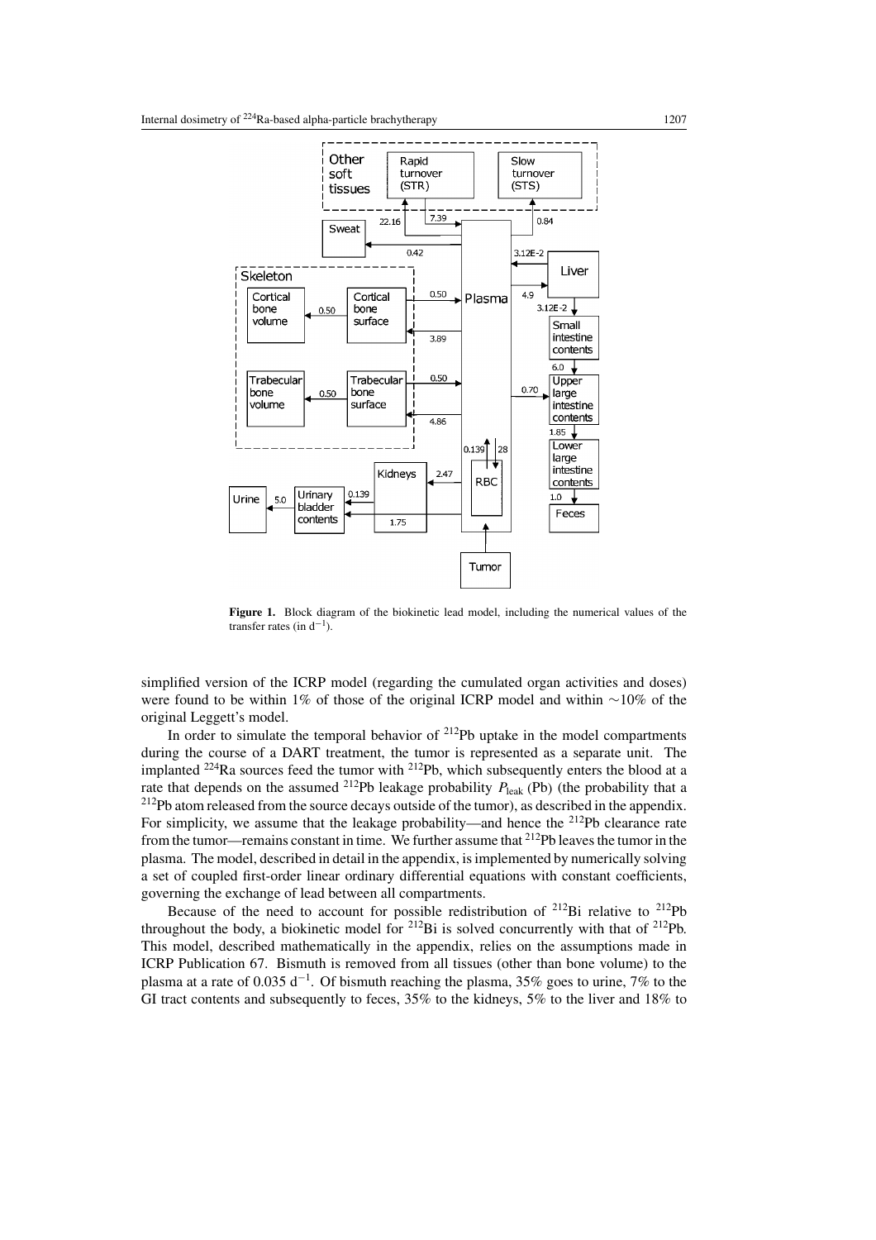<span id="page-6-0"></span>

**Figure 1.** Block diagram of the biokinetic lead model, including the numerical values of the transfer rates (in  $d^{-1}$ ).

simplified version of the ICRP model (regarding the cumulated organ activities and doses) were found to be within 1% of those of the original ICRP model and within ∼10% of the original Leggett's model.

In order to simulate the temporal behavior of  $2^{12}Pb$  uptake in the model compartments during the course of a DART treatment, the tumor is represented as a separate unit. The implanted 224Ra sources feed the tumor with 212Pb, which subsequently enters the blood at a rate that depends on the assumed <sup>212</sup>Pb leakage probability  $P_{\text{leak}}$  (Pb) (the probability that a  $2^{12}Pb$  atom released from the source decays outside of the tumor), as described in the appendix. For simplicity, we assume that the leakage probability—and hence the  $^{212}Pb$  clearance rate from the tumor—remains constant in time. We further assume that <sup>212</sup>Pb leaves the tumor in the plasma. The model, described in detail in the appendix, is implemented by numerically solving a set of coupled first-order linear ordinary differential equations with constant coefficients, governing the exchange of lead between all compartments.

Because of the need to account for possible redistribution of 212Bi relative to 212Pb throughout the body, a biokinetic model for  ${}^{212}$ Bi is solved concurrently with that of  ${}^{212}$ Pb. This model, described mathematically in the appendix, relies on the assumptions made in ICRP Publication 67. Bismuth is removed from all tissues (other than bone volume) to the plasma at a rate of 0.035 d<sup>-1</sup>. Of bismuth reaching the plasma, 35% goes to urine, 7% to the GI tract contents and subsequently to feces, 35% to the kidneys, 5% to the liver and 18% to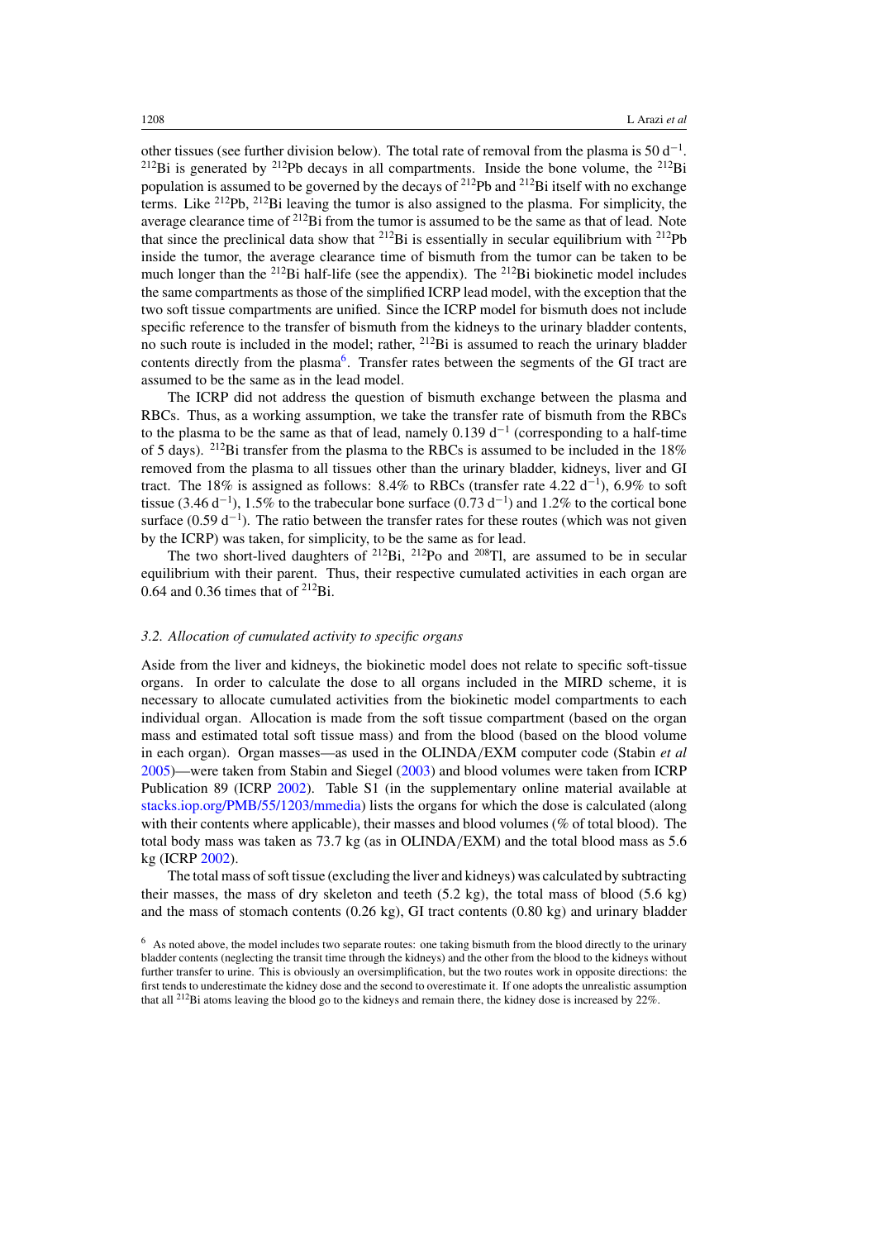other tissues (see further division below). The total rate of removal from the plasma is  $50 d^{-1}$ .  $^{212}$ Bi is generated by  $^{212}$ Pb decays in all compartments. Inside the bone volume, the  $^{212}$ Bi population is assumed to be governed by the decays of  $^{212}Pb$  and  $^{212}Bi$  itself with no exchange terms. Like 212Pb, 212Bi leaving the tumor is also assigned to the plasma. For simplicity, the average clearance time of <sup>212</sup>Bi from the tumor is assumed to be the same as that of lead. Note that since the preclinical data show that  $^{212}Bi$  is essentially in secular equilibrium with  $^{212}Pb$ inside the tumor, the average clearance time of bismuth from the tumor can be taken to be much longer than the  $^{212}$ Bi half-life (see the appendix). The  $^{212}$ Bi biokinetic model includes the same compartments as those of the simplified ICRP lead model, with the exception that the two soft tissue compartments are unified. Since the ICRP model for bismuth does not include specific reference to the transfer of bismuth from the kidneys to the urinary bladder contents, no such route is included in the model; rather, 212Bi is assumed to reach the urinary bladder contents directly from the plasma<sup>6</sup>. Transfer rates between the segments of the GI tract are assumed to be the same as in the lead model.

The ICRP did not address the question of bismuth exchange between the plasma and RBCs. Thus, as a working assumption, we take the transfer rate of bismuth from the RBCs to the plasma to be the same as that of lead, namely 0.139  $d^{-1}$  (corresponding to a half-time of 5 days). <sup>212</sup>Bi transfer from the plasma to the RBCs is assumed to be included in the 18% removed from the plasma to all tissues other than the urinary bladder, kidneys, liver and GI tract. The 18% is assigned as follows: 8.4% to RBCs (transfer rate 4.22 d<sup>-1</sup>), 6.9% to soft tissue (3.46 d<sup>-1</sup>), 1.5% to the trabecular bone surface (0.73 d<sup>-1</sup>) and 1.2% to the cortical bone surface (0.59  $d^{-1}$ ). The ratio between the transfer rates for these routes (which was not given by the ICRP) was taken, for simplicity, to be the same as for lead.

The two short-lived daughters of  $^{212}Bi$ ,  $^{212}Po$  and  $^{208}Ti$ , are assumed to be in secular equilibrium with their parent. Thus, their respective cumulated activities in each organ are 0.64 and 0.36 times that of  $^{212}$ Bi.

## *3.2. Allocation of cumulated activity to specific organs*

Aside from the liver and kidneys, the biokinetic model does not relate to specific soft-tissue organs. In order to calculate the dose to all organs included in the MIRD scheme, it is necessary to allocate cumulated activities from the biokinetic model compartments to each individual organ. Allocation is made from the soft tissue compartment (based on the organ mass and estimated total soft tissue mass) and from the blood (based on the blood volume in each organ). Organ masses—as used in the OLINDA*/*EXM computer code (Stabin *et al* [2005\)](#page-17-0)—were taken from Stabin and Siegel [\(2003](#page-17-0)) and blood volumes were taken from ICRP Publication 89 (ICRP [2002](#page-16-0)). Table S1 (in the supplementary online material available at [stacks.iop.org/PMB/55/1203/mmedia\)](http://stacks.iop.org/PMB/55/1203/mmedia) lists the organs for which the dose is calculated (along with their contents where applicable), their masses and blood volumes (% of total blood). The total body mass was taken as 73.7 kg (as in OLINDA*/*EXM) and the total blood mass as 5.6 kg (ICRP [2002](#page-16-0)).

The total mass of soft tissue (excluding the liver and kidneys) was calculated by subtracting their masses, the mass of dry skeleton and teeth (5.2 kg), the total mass of blood (5.6 kg) and the mass of stomach contents  $(0.26 \text{ kg})$ , GI tract contents  $(0.80 \text{ kg})$  and urinary bladder

<sup>6</sup> As noted above, the model includes two separate routes: one taking bismuth from the blood directly to the urinary bladder contents (neglecting the transit time through the kidneys) and the other from the blood to the kidneys without further transfer to urine. This is obviously an oversimplification, but the two routes work in opposite directions: the first tends to underestimate the kidney dose and the second to overestimate it. If one adopts the unrealistic assumption that all <sup>212</sup>Bi atoms leaving the blood go to the kidneys and remain there, the kidney dose is increased by 22%.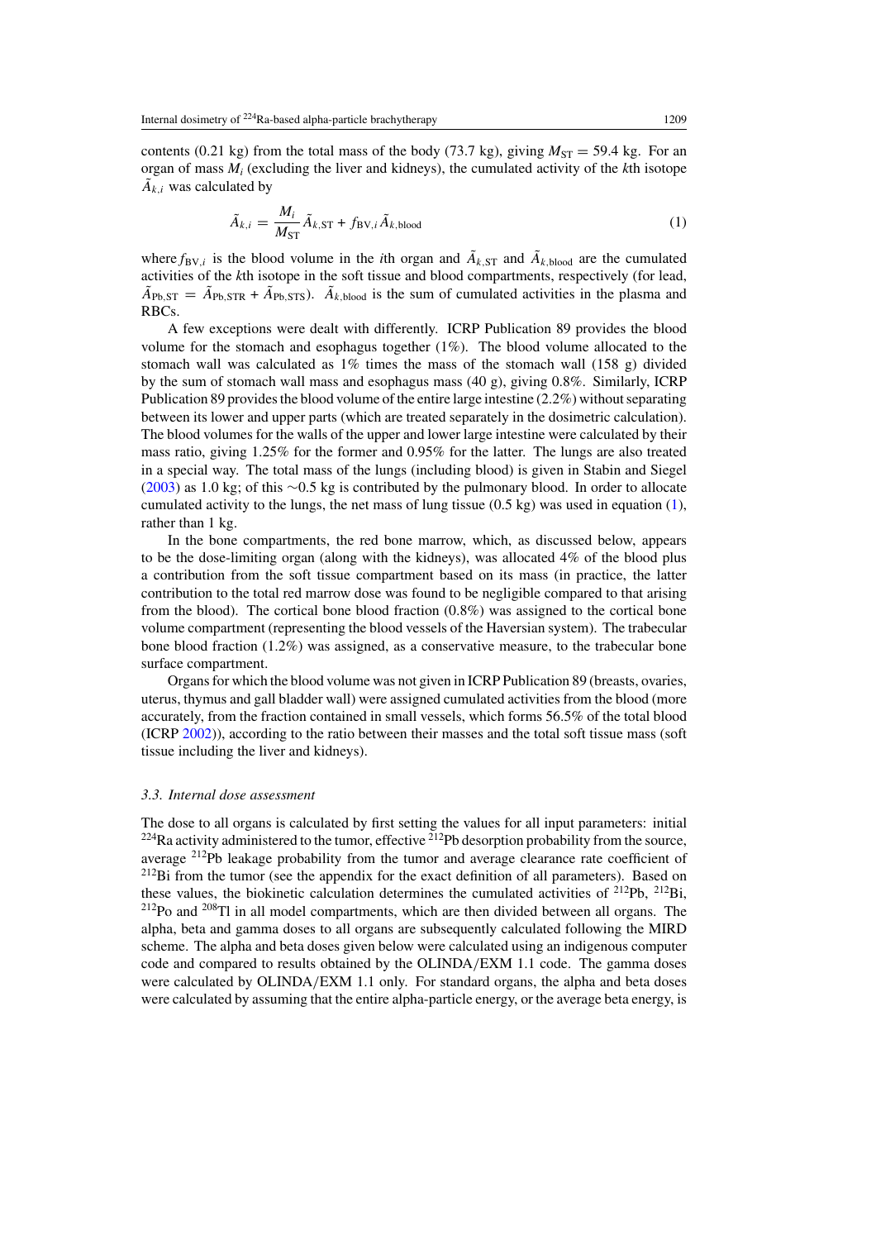contents (0.21 kg) from the total mass of the body (73.7 kg), giving  $M_{ST} = 59.4$  kg. For an organ of mass  $M_i$  (excluding the liver and kidneys), the cumulated activity of the  $k$ th isotope  $\tilde{A}_{k,i}$  was calculated by

$$
\tilde{A}_{k,i} = \frac{M_i}{M_{\text{ST}}} \tilde{A}_{k,\text{ST}} + f_{\text{BV},i} \tilde{A}_{k,\text{blood}} \tag{1}
$$

where  $f_{BV,i}$  is the blood volume in the *i*th organ and  $\tilde{A}_{k,ST}$  and  $\tilde{A}_{k,bload}$  are the cumulated activities of the *k*th isotope in the soft tissue and blood compartments, respectively (for lead,  $\tilde{A}_{\text{Pb,ST}} = \tilde{A}_{\text{Pb,STR}} + \tilde{A}_{\text{Pb,STS}}$ .  $\tilde{A}_{k,\text{blood}}$  is the sum of cumulated activities in the plasma and RBCs.

A few exceptions were dealt with differently. ICRP Publication 89 provides the blood volume for the stomach and esophagus together  $(1\%)$ . The blood volume allocated to the stomach wall was calculated as  $1\%$  times the mass of the stomach wall (158 g) divided by the sum of stomach wall mass and esophagus mass (40 g), giving 0.8%. Similarly, ICRP Publication 89 provides the blood volume of the entire large intestine (2.2%) without separating between its lower and upper parts (which are treated separately in the dosimetric calculation). The blood volumes for the walls of the upper and lower large intestine were calculated by their mass ratio, giving 1.25% for the former and 0.95% for the latter. The lungs are also treated in a special way. The total mass of the lungs (including blood) is given in Stabin and Siegel [\(2003](#page-17-0)) as 1.0 kg; of this ∼0.5 kg is contributed by the pulmonary blood. In order to allocate cumulated activity to the lungs, the net mass of lung tissue  $(0.5 \text{ kg})$  was used in equation  $(1)$ , rather than 1 kg.

In the bone compartments, the red bone marrow, which, as discussed below, appears to be the dose-limiting organ (along with the kidneys), was allocated 4% of the blood plus a contribution from the soft tissue compartment based on its mass (in practice, the latter contribution to the total red marrow dose was found to be negligible compared to that arising from the blood). The cortical bone blood fraction (0.8%) was assigned to the cortical bone volume compartment (representing the blood vessels of the Haversian system). The trabecular bone blood fraction (1.2%) was assigned, as a conservative measure, to the trabecular bone surface compartment.

Organs for which the blood volume was not given in ICRP Publication 89 (breasts, ovaries, uterus, thymus and gall bladder wall) were assigned cumulated activities from the blood (more accurately, from the fraction contained in small vessels, which forms 56.5% of the total blood (ICRP [2002\)](#page-16-0)), according to the ratio between their masses and the total soft tissue mass (soft tissue including the liver and kidneys).

#### *3.3. Internal dose assessment*

The dose to all organs is calculated by first setting the values for all input parameters: initial  $^{224}$ Ra activity administered to the tumor, effective  $^{212}$ Pb desorption probability from the source, average 212Pb leakage probability from the tumor and average clearance rate coefficient of  $212Bi$  from the tumor (see the appendix for the exact definition of all parameters). Based on these values, the biokinetic calculation determines the cumulated activities of  $212Pb$ ,  $212Bi$ ,  $212P<sub>O</sub>$  and  $208Tl$  in all model compartments, which are then divided between all organs. The alpha, beta and gamma doses to all organs are subsequently calculated following the MIRD scheme. The alpha and beta doses given below were calculated using an indigenous computer code and compared to results obtained by the OLINDA*/*EXM 1.1 code. The gamma doses were calculated by OLINDA*/*EXM 1.1 only. For standard organs, the alpha and beta doses were calculated by assuming that the entire alpha-particle energy, or the average beta energy, is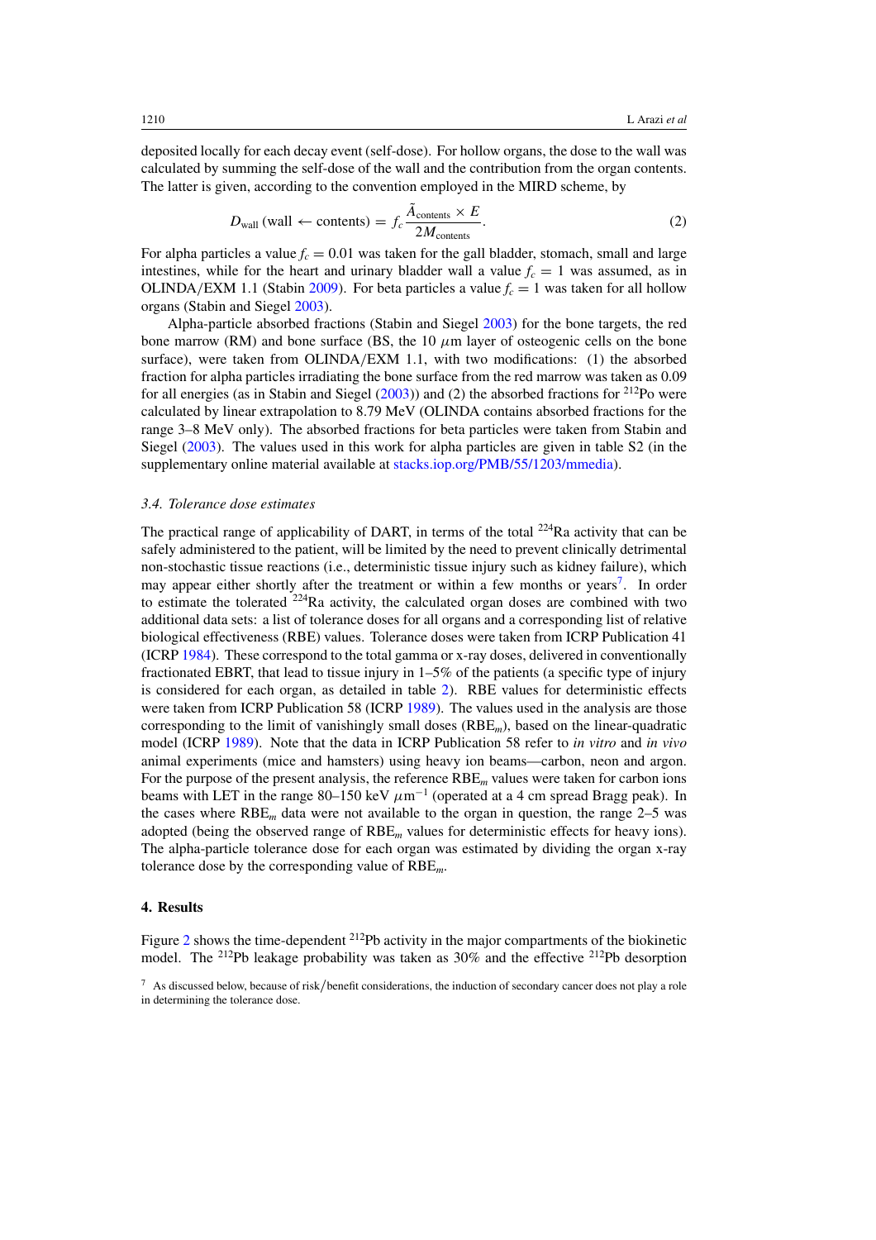deposited locally for each decay event (self-dose). For hollow organs, the dose to the wall was calculated by summing the self-dose of the wall and the contribution from the organ contents. The latter is given, according to the convention employed in the MIRD scheme, by

$$
D_{\text{wall}}\left(\text{wall} \leftarrow \text{contents}) = f_c \frac{\tilde{A}_{\text{contents}} \times E}{2M_{\text{contents}}}.\tag{2}
$$

For alpha particles a value  $f_c = 0.01$  was taken for the gall bladder, stomach, small and large intestines, while for the heart and urinary bladder wall a value  $f_c = 1$  was assumed, as in OLINDA/EXM 1.1 (Stabin [2009\)](#page-16-0). For beta particles a value  $f_c = 1$  was taken for all hollow organs (Stabin and Siegel [2003](#page-17-0)).

Alpha-particle absorbed fractions (Stabin and Siegel [2003](#page-17-0)) for the bone targets, the red bone marrow (RM) and bone surface (BS, the  $10 \mu m$  layer of osteogenic cells on the bone surface), were taken from OLINDA*/*EXM 1.1, with two modifications: (1) the absorbed fraction for alpha particles irradiating the bone surface from the red marrow was taken as 0.09 for all energies (as in Stabin and Siegel  $(2003)$  $(2003)$ ) and  $(2)$  the absorbed fractions for  $212$ Po were calculated by linear extrapolation to 8.79 MeV (OLINDA contains absorbed fractions for the range 3–8 MeV only). The absorbed fractions for beta particles were taken from Stabin and Siegel [\(2003\)](#page-17-0). The values used in this work for alpha particles are given in table S2 (in the supplementary online material available at [stacks.iop.org/PMB/55/1203/mmedia\)](http://stacks.iop.org/PMB/55/1203/mmedia).

## *3.4. Tolerance dose estimates*

The practical range of applicability of DART, in terms of the total  $^{224}$ Ra activity that can be safely administered to the patient, will be limited by the need to prevent clinically detrimental non-stochastic tissue reactions (i.e., deterministic tissue injury such as kidney failure), which may appear either shortly after the treatment or within a few months or years<sup>7</sup>. In order to estimate the tolerated  $224$ Ra activity, the calculated organ doses are combined with two additional data sets: a list of tolerance doses for all organs and a corresponding list of relative biological effectiveness (RBE) values. Tolerance doses were taken from ICRP Publication 41 (ICRP [1984](#page-16-0)). These correspond to the total gamma or x-ray doses, delivered in conventionally fractionated EBRT, that lead to tissue injury in 1–5% of the patients (a specific type of injury is considered for each organ, as detailed in table [2\)](#page-12-0). RBE values for deterministic effects were taken from ICRP Publication 58 (ICRP [1989](#page-16-0)). The values used in the analysis are those corresponding to the limit of vanishingly small doses (RBE*m*), based on the linear-quadratic model (ICRP [1989](#page-16-0)). Note that the data in ICRP Publication 58 refer to *in vitro* and *in vivo* animal experiments (mice and hamsters) using heavy ion beams—carbon, neon and argon. For the purpose of the present analysis, the reference RBE*<sup>m</sup>* values were taken for carbon ions beams with LET in the range 80–150 keV  $\mu$ m<sup>-1</sup> (operated at a 4 cm spread Bragg peak). In the cases where  $RBE<sub>m</sub>$  data were not available to the organ in question, the range 2–5 was adopted (being the observed range of RBE*<sup>m</sup>* values for deterministic effects for heavy ions). The alpha-particle tolerance dose for each organ was estimated by dividing the organ x-ray tolerance dose by the corresponding value of RBE*m*.

## **4. Results**

Figure [2](#page-10-0) shows the time-dependent <sup>212</sup>Pb activity in the major compartments of the biokinetic model. The 212Pb leakage probability was taken as 30% and the effective 212Pb desorption

<sup>7</sup> As discussed below, because of risk*/*benefit considerations, the induction of secondary cancer does not play a role in determining the tolerance dose.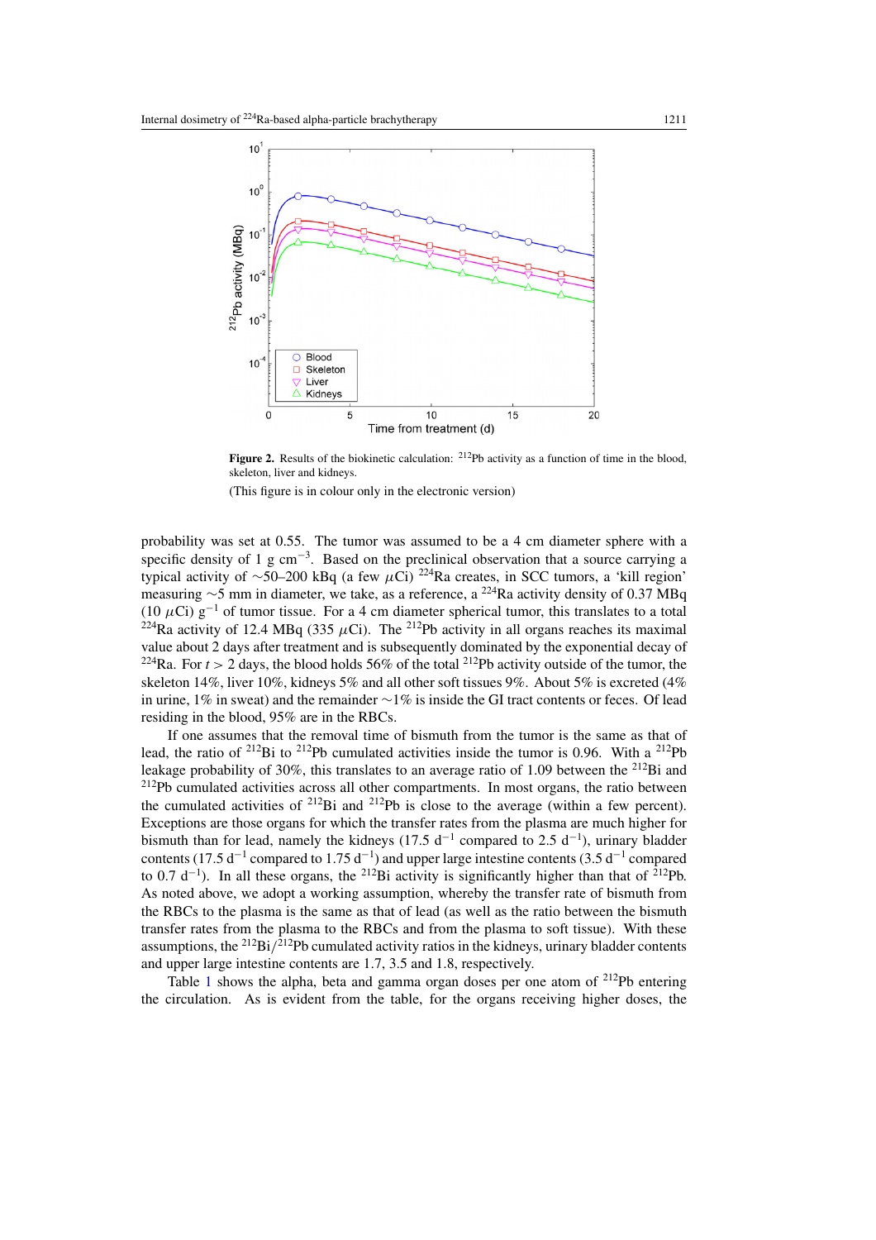<span id="page-10-0"></span>

Figure 2. Results of the biokinetic calculation: <sup>212</sup>Pb activity as a function of time in the blood, skeleton, liver and kidneys.

(This figure is in colour only in the electronic version)

probability was set at 0.55. The tumor was assumed to be a 4 cm diameter sphere with a specific density of 1 g cm<sup>-3</sup>. Based on the preclinical observation that a source carrying a typical activity of <sup>∼</sup>50–200 kBq (a few *<sup>μ</sup>*Ci) 224Ra creates, in SCC tumors, a 'kill region' measuring <sup>∼</sup>5 mm in diameter, we take, as a reference, a 224Ra activity density of 0.37 MBq (10  $\mu$ Ci) g<sup>-1</sup> of tumor tissue. For a 4 cm diameter spherical tumor, this translates to a total <sup>224</sup>Ra activity of 12.4 MBq (335  $\mu$ Ci). The <sup>212</sup>Pb activity in all organs reaches its maximal value about 2 days after treatment and is subsequently dominated by the exponential decay of <sup>224</sup>Ra. For  $t > 2$  days, the blood holds 56% of the total <sup>212</sup>Pb activity outside of the tumor, the skeleton 14%, liver 10%, kidneys 5% and all other soft tissues 9%. About 5% is excreted (4% in urine, 1% in sweat) and the remainder ∼1% is inside the GI tract contents or feces. Of lead residing in the blood, 95% are in the RBCs.

If one assumes that the removal time of bismuth from the tumor is the same as that of lead, the ratio of <sup>212</sup>Bi to <sup>212</sup>Pb cumulated activities inside the tumor is 0.96. With a <sup>212</sup>Pb leakage probability of 30%, this translates to an average ratio of 1.09 between the <sup>212</sup>Bi and <sup>212</sup>Pb cumulated activities across all other compartments. In most organs, the ratio between the cumulated activities of  $^{212}$ Bi and  $^{212}$ Pb is close to the average (within a few percent). Exceptions are those organs for which the transfer rates from the plasma are much higher for bismuth than for lead, namely the kidneys (17.5  $d^{-1}$  compared to 2.5  $d^{-1}$ ), urinary bladder contents (17.5 d<sup>-1</sup> compared to 1.75 d<sup>-1</sup>) and upper large intestine contents (3.5 d<sup>-1</sup> compared to 0.7 d<sup>-1</sup>). In all these organs, the <sup>212</sup>Bi activity is significantly higher than that of <sup>212</sup>Pb. As noted above, we adopt a working assumption, whereby the transfer rate of bismuth from the RBCs to the plasma is the same as that of lead (as well as the ratio between the bismuth transfer rates from the plasma to the RBCs and from the plasma to soft tissue). With these assumptions, the 212Bi*/*212Pb cumulated activity ratios in the kidneys, urinary bladder contents and upper large intestine contents are 1.7, 3.5 and 1.8, respectively.

Table [1](#page-11-0) shows the alpha, beta and gamma organ doses per one atom of  $^{212}Pb$  entering the circulation. As is evident from the table, for the organs receiving higher doses, the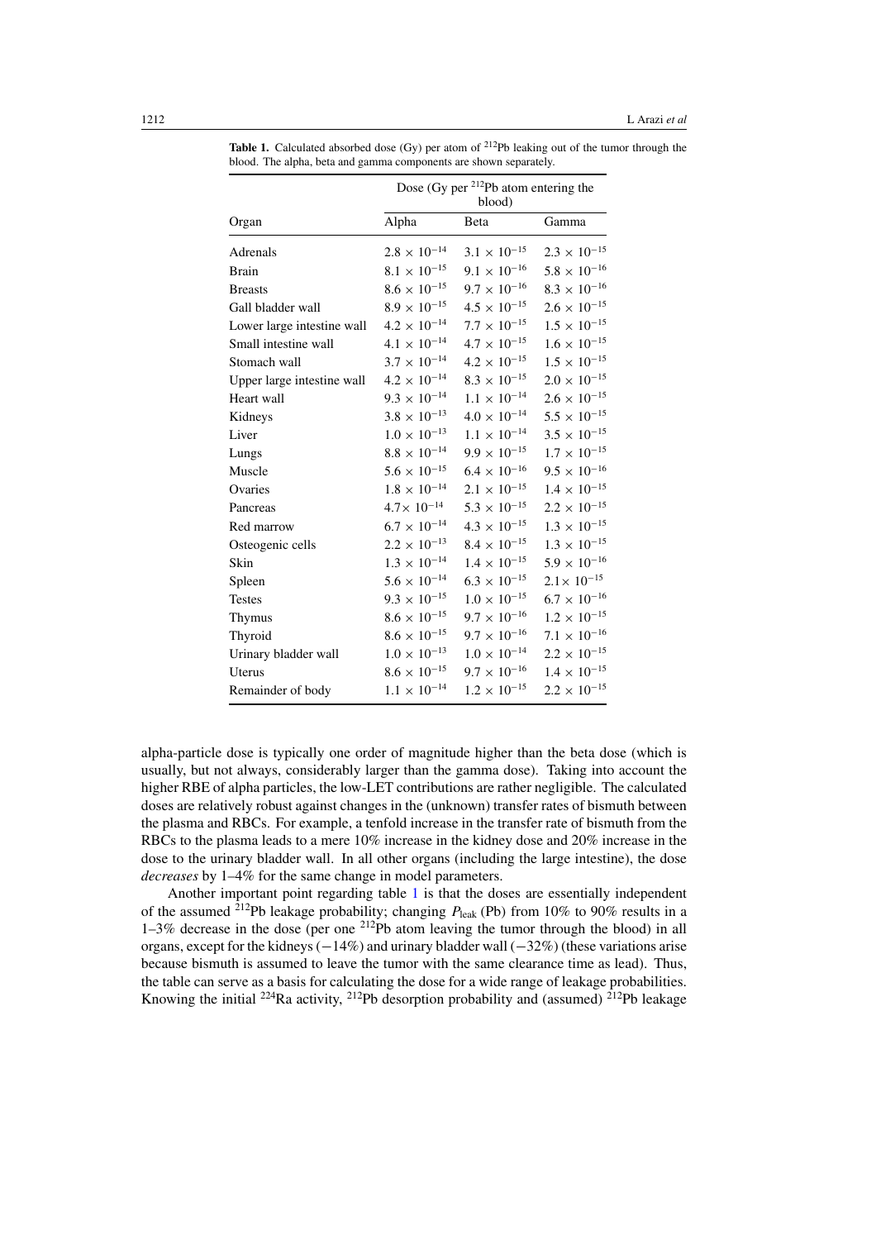|                            | Dose (Gy per <sup>212</sup> Pb atom entering the<br>blood) |                       |                       |  |  |  |
|----------------------------|------------------------------------------------------------|-----------------------|-----------------------|--|--|--|
| Organ                      | Alpha                                                      | Beta                  | Gamma                 |  |  |  |
| Adrenals                   | $2.8 \times 10^{-14}$                                      | $3.1 \times 10^{-15}$ | $2.3 \times 10^{-15}$ |  |  |  |
| Brain                      | $8.1 \times 10^{-15}$                                      | $9.1\times10^{-16}$   | $5.8\times10^{-16}$   |  |  |  |
| <b>Breasts</b>             | $8.6\times10^{-15}$                                        | $9.7 \times 10^{-16}$ | $8.3\times10^{-16}$   |  |  |  |
| Gall bladder wall          | $8.9\times10^{-15}$                                        | $4.5 \times 10^{-15}$ | $2.6\times10^{-15}$   |  |  |  |
| Lower large intestine wall | $4.2 \times 10^{-14}$                                      | $7.7\times10^{-15}$   | $1.5\times10^{-15}$   |  |  |  |
| Small intestine wall       | $4.1 \times 10^{-14}$                                      | $4.7 \times 10^{-15}$ | $1.6\times10^{-15}$   |  |  |  |
| Stomach wall               | $3.7 \times 10^{-14}$                                      | $4.2 \times 10^{-15}$ | $1.5\times10^{-15}$   |  |  |  |
| Upper large intestine wall | $4.2 \times 10^{-14}$                                      | $8.3 \times 10^{-15}$ | $2.0 \times 10^{-15}$ |  |  |  |
| Heart wall                 | $9.3 \times 10^{-14}$                                      | $1.1 \times 10^{-14}$ | $2.6 \times 10^{-15}$ |  |  |  |
| Kidneys                    | $3.8 \times 10^{-13}$                                      | $4.0 \times 10^{-14}$ | $5.5\times10^{-15}$   |  |  |  |
| Liver                      | $1.0\times10^{-13}$                                        | $1.1\times10^{-14}$   | $3.5\times10^{-15}$   |  |  |  |
| Lungs                      | $8.8\,\times\,10^{-14}$                                    | $9.9 \times 10^{-15}$ | $1.7\times10^{-15}$   |  |  |  |
| Muscle                     | $5.6 \times 10^{-15}$                                      | $6.4 \times 10^{-16}$ | $9.5\times10^{-16}$   |  |  |  |
| Ovaries                    | $1.8\times10^{-14}$                                        | $2.1 \times 10^{-15}$ | $1.4\times10^{-15}$   |  |  |  |
| Pancreas                   | $4.7 \times 10^{-14}$                                      | $5.3\times10^{-15}$   | $2.2\times10^{-15}$   |  |  |  |
| Red marrow                 | $6.7\times10^{-14}$                                        | $4.3\times10^{-15}$   | $1.3\times10^{-15}$   |  |  |  |
| Osteogenic cells           | $2.2\times10^{-13}$                                        | $8.4 \times 10^{-15}$ | $1.3\times10^{-15}$   |  |  |  |
| Skin                       | $1.3 \times 10^{-14}$                                      | $1.4 \times 10^{-15}$ | $5.9\times10^{-16}$   |  |  |  |
| Spleen                     | $5.6\times10^{-14}$                                        | $6.3 \times 10^{-15}$ | $2.1 \times 10^{-15}$ |  |  |  |
| <b>Testes</b>              | $9.3 \times 10^{-15}$                                      | $1.0\times10^{-15}$   | $6.7\times10^{-16}$   |  |  |  |
| Thymus                     | $8.6\times10^{-15}$                                        | $9.7 \times 10^{-16}$ | $1.2\times10^{-15}$   |  |  |  |
| Thyroid                    | $8.6\times10^{-15}$                                        | $9.7 \times 10^{-16}$ | $7.1\times10^{-16}$   |  |  |  |
| Urinary bladder wall       | $1.0\times10^{-13}$                                        | $1.0\times10^{-14}$   | $2.2\times10^{-15}$   |  |  |  |
| Uterus                     | $8.6\times10^{-15}$                                        | $9.7 \times 10^{-16}$ | $1.4\times10^{-15}$   |  |  |  |
| Remainder of body          | $1.1\times10^{-14}$                                        | $1.2 \times 10^{-15}$ | $2.2 \times 10^{-15}$ |  |  |  |

<span id="page-11-0"></span>**Table 1.** Calculated absorbed dose (Gy) per atom of <sup>212</sup>Pb leaking out of the tumor through the blood. The alpha, beta and gamma components are shown separately.

alpha-particle dose is typically one order of magnitude higher than the beta dose (which is usually, but not always, considerably larger than the gamma dose). Taking into account the higher RBE of alpha particles, the low-LET contributions are rather negligible. The calculated doses are relatively robust against changes in the (unknown) transfer rates of bismuth between the plasma and RBCs. For example, a tenfold increase in the transfer rate of bismuth from the RBCs to the plasma leads to a mere 10% increase in the kidney dose and 20% increase in the dose to the urinary bladder wall. In all other organs (including the large intestine), the dose *decreases* by 1–4% for the same change in model parameters.

Another important point regarding table 1 is that the doses are essentially independent of the assumed <sup>212</sup>Pb leakage probability; changing  $P_{\text{leak}}$  (Pb) from 10% to 90% results in a  $1-3\%$  decrease in the dose (per one  $212$ Pb atom leaving the tumor through the blood) in all organs, except for the kidneys (−14%) and urinary bladder wall (−32%) (these variations arise because bismuth is assumed to leave the tumor with the same clearance time as lead). Thus, the table can serve as a basis for calculating the dose for a wide range of leakage probabilities. Knowing the initial <sup>224</sup>Ra activity, <sup>212</sup>Pb desorption probability and (assumed) <sup>212</sup>Pb leakage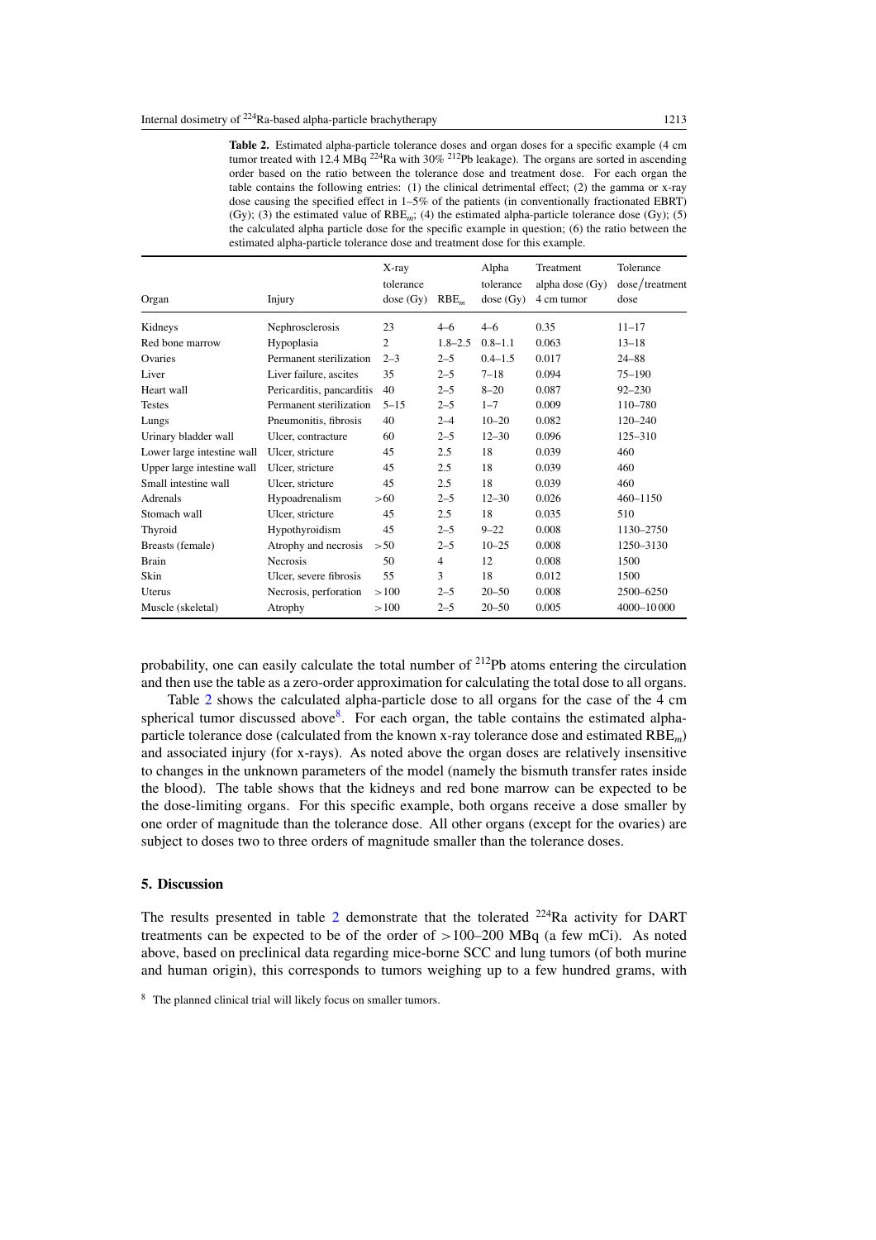<span id="page-12-0"></span>**Table 2.** Estimated alpha-particle tolerance doses and organ doses for a specific example (4 cm tumor treated with  $12.4$  MBq <sup>224</sup>Ra with  $30\%$  <sup>212</sup>Pb leakage). The organs are sorted in ascending order based on the ratio between the tolerance dose and treatment dose. For each organ the table contains the following entries: (1) the clinical detrimental effect; (2) the gamma or x-ray dose causing the specified effect in 1–5% of the patients (in conventionally fractionated EBRT) (Gy); (3) the estimated value of RBE*m*; (4) the estimated alpha-particle tolerance dose (Gy); (5) the calculated alpha particle dose for the specific example in question; (6) the ratio between the estimated alpha-particle tolerance dose and treatment dose for this example.

| Organ                      | Injury                                               | $X$ -ray<br>tolerance<br>dose(Gy) | RBE <sub>m</sub> | Alpha<br>tolerance<br>dose(Gy) | Treatment<br>alpha dose (Gy)<br>4 cm tumor | Tolerance<br>dose/treatment<br>dose |
|----------------------------|------------------------------------------------------|-----------------------------------|------------------|--------------------------------|--------------------------------------------|-------------------------------------|
| Kidneys                    | Nephrosclerosis                                      | 23                                | $4 - 6$          | $4 - 6$                        | 0.35                                       | $11 - 17$                           |
| Red bone marrow            | Hypoplasia                                           | $\overline{2}$                    | $1.8 - 2.5$      | $0.8 - 1.1$                    | 0.063                                      | $13 - 18$                           |
| Ovaries                    | Permanent sterilization                              | $2 - 3$                           | $2 - 5$          | $0.4 - 1.5$                    | 0.017                                      | $24 - 88$                           |
| Liver                      | Liver failure, ascites                               | 35                                | $2 - 5$          | $7 - 18$                       | 0.094                                      | $75 - 190$                          |
| Heart wall                 |                                                      | 40                                | $2 - 5$          | $8 - 20$                       | 0.087                                      | $92 - 230$                          |
| <b>Testes</b>              | Pericarditis, pancarditis<br>Permanent sterilization | $5 - 15$                          |                  | $1 - 7$                        | 0.009                                      | 110-780                             |
|                            |                                                      |                                   | $2 - 5$          |                                |                                            |                                     |
| Lungs                      | Pneumonitis, fibrosis                                | 40                                | $2 - 4$          | $10 - 20$                      | 0.082                                      | $120 - 240$                         |
| Urinary bladder wall       | Ulcer, contracture                                   | 60                                | $2 - 5$          | $12 - 30$                      | 0.096                                      | $125 - 310$                         |
| Lower large intestine wall | Ulcer, stricture                                     | 45                                | 2.5              | 18                             | 0.039                                      | 460                                 |
| Upper large intestine wall | Ulcer, stricture                                     | 45                                | 2.5              | 18                             | 0.039                                      | 460                                 |
| Small intestine wall       | Ulcer, stricture                                     | 45                                | 2.5              | 18                             | 0.039                                      | 460                                 |
| Adrenals                   | Hypoadrenalism                                       | >60                               | $2 - 5$          | $12 - 30$                      | 0.026                                      | $460 - 1150$                        |
| Stomach wall               | Ulcer, stricture                                     | 45                                | 2.5              | 18                             | 0.035                                      | 510                                 |
| Thyroid                    | Hypothyroidism                                       | 45                                | $2 - 5$          | $9 - 22$                       | 0.008                                      | 1130-2750                           |
| Breasts (female)           | Atrophy and necrosis                                 | >50                               | $2 - 5$          | $10 - 25$                      | 0.008                                      | 1250-3130                           |
| <b>Brain</b>               | <b>Necrosis</b>                                      | 50                                | $\overline{4}$   | 12                             | 0.008                                      | 1500                                |
| Skin                       | Ulcer, severe fibrosis                               | 55                                | 3                | 18                             | 0.012                                      | 1500                                |
| Uterus                     | Necrosis, perforation                                | >100                              | $2 - 5$          | $20 - 50$                      | 0.008                                      | 2500-6250                           |
| Muscle (skeletal)          | Atrophy                                              | >100                              | $2 - 5$          | $20 - 50$                      | 0.005                                      | 4000-10000                          |

probability, one can easily calculate the total number of  $^{212}Pb$  atoms entering the circulation and then use the table as a zero-order approximation for calculating the total dose to all organs.

Table 2 shows the calculated alpha-particle dose to all organs for the case of the 4 cm spherical tumor discussed above<sup>8</sup>. For each organ, the table contains the estimated alphaparticle tolerance dose (calculated from the known x-ray tolerance dose and estimated RBE*m*) and associated injury (for x-rays). As noted above the organ doses are relatively insensitive to changes in the unknown parameters of the model (namely the bismuth transfer rates inside the blood). The table shows that the kidneys and red bone marrow can be expected to be the dose-limiting organs. For this specific example, both organs receive a dose smaller by one order of magnitude than the tolerance dose. All other organs (except for the ovaries) are subject to doses two to three orders of magnitude smaller than the tolerance doses.

#### **5. Discussion**

The results presented in table 2 demonstrate that the tolerated  $^{224}$ Ra activity for DART treatments can be expected to be of the order of *>*100–200 MBq (a few mCi). As noted above, based on preclinical data regarding mice-borne SCC and lung tumors (of both murine and human origin), this corresponds to tumors weighing up to a few hundred grams, with

<sup>8</sup> The planned clinical trial will likely focus on smaller tumors.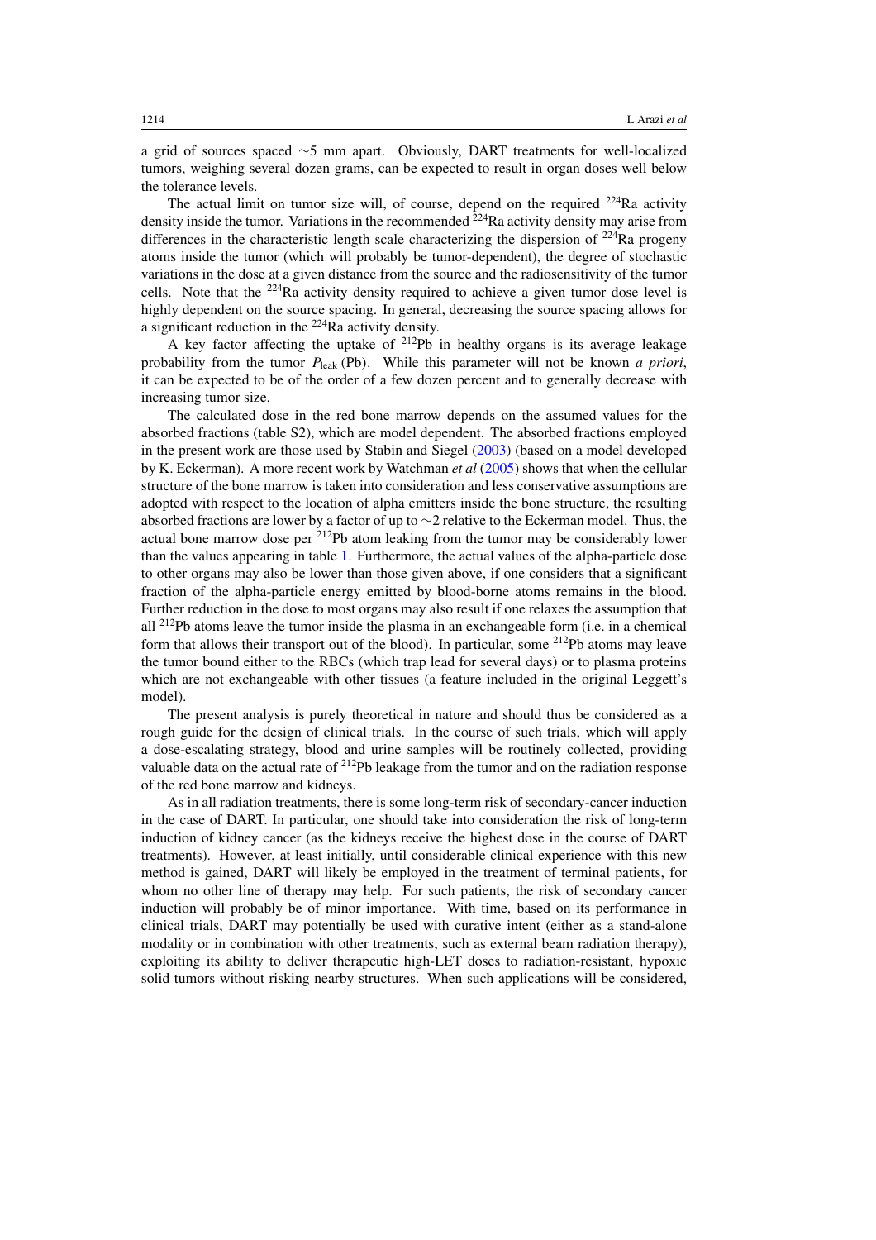a grid of sources spaced ∼5 mm apart. Obviously, DART treatments for well-localized tumors, weighing several dozen grams, can be expected to result in organ doses well below the tolerance levels.

The actual limit on tumor size will, of course, depend on the required  $224Ra$  activity density inside the tumor. Variations in the recommended  $2^{24}$ Ra activity density may arise from differences in the characteristic length scale characterizing the dispersion of  $^{224}$ Ra progeny atoms inside the tumor (which will probably be tumor-dependent), the degree of stochastic variations in the dose at a given distance from the source and the radiosensitivity of the tumor cells. Note that the 224Ra activity density required to achieve a given tumor dose level is highly dependent on the source spacing. In general, decreasing the source spacing allows for a significant reduction in the 224Ra activity density.

A key factor affecting the uptake of  $212$ Pb in healthy organs is its average leakage probability from the tumor  $P_{\text{leak}}$  *(Pb)*. While this parameter will not be known *a priori*, it can be expected to be of the order of a few dozen percent and to generally decrease with increasing tumor size.

The calculated dose in the red bone marrow depends on the assumed values for the absorbed fractions (table S2), which are model dependent. The absorbed fractions employed in the present work are those used by Stabin and Siegel [\(2003\)](#page-17-0) (based on a model developed by K. Eckerman). A more recent work by Watchman *et al* [\(2005](#page-17-0)) shows that when the cellular structure of the bone marrow is taken into consideration and less conservative assumptions are adopted with respect to the location of alpha emitters inside the bone structure, the resulting absorbed fractions are lower by a factor of up to ∼2 relative to the Eckerman model. Thus, the actual bone marrow dose per 212Pb atom leaking from the tumor may be considerably lower than the values appearing in table [1.](#page-11-0) Furthermore, the actual values of the alpha-particle dose to other organs may also be lower than those given above, if one considers that a significant fraction of the alpha-particle energy emitted by blood-borne atoms remains in the blood. Further reduction in the dose to most organs may also result if one relaxes the assumption that all  $^{212}Pb$  atoms leave the tumor inside the plasma in an exchangeable form (i.e. in a chemical form that allows their transport out of the blood). In particular, some 212Pb atoms may leave the tumor bound either to the RBCs (which trap lead for several days) or to plasma proteins which are not exchangeable with other tissues (a feature included in the original Leggett's model).

The present analysis is purely theoretical in nature and should thus be considered as a rough guide for the design of clinical trials. In the course of such trials, which will apply a dose-escalating strategy, blood and urine samples will be routinely collected, providing valuable data on the actual rate of <sup>212</sup>Pb leakage from the tumor and on the radiation response of the red bone marrow and kidneys.

As in all radiation treatments, there is some long-term risk of secondary-cancer induction in the case of DART. In particular, one should take into consideration the risk of long-term induction of kidney cancer (as the kidneys receive the highest dose in the course of DART treatments). However, at least initially, until considerable clinical experience with this new method is gained, DART will likely be employed in the treatment of terminal patients, for whom no other line of therapy may help. For such patients, the risk of secondary cancer induction will probably be of minor importance. With time, based on its performance in clinical trials, DART may potentially be used with curative intent (either as a stand-alone modality or in combination with other treatments, such as external beam radiation therapy), exploiting its ability to deliver therapeutic high-LET doses to radiation-resistant, hypoxic solid tumors without risking nearby structures. When such applications will be considered,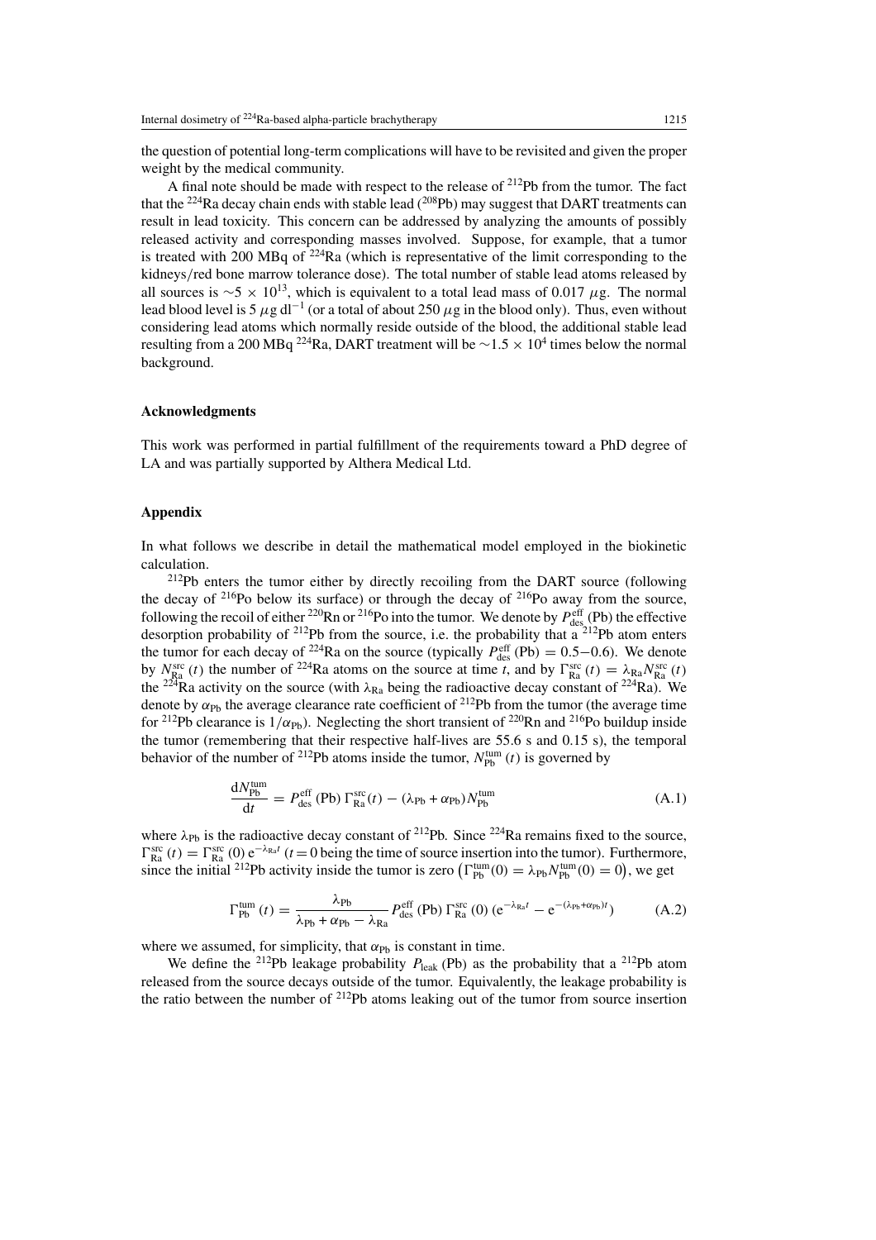<span id="page-14-0"></span>the question of potential long-term complications will have to be revisited and given the proper weight by the medical community.

A final note should be made with respect to the release of  $^{212}Pb$  from the tumor. The fact that the  $^{224}$ Ra decay chain ends with stable lead ( $^{208}$ Pb) may suggest that DART treatments can result in lead toxicity. This concern can be addressed by analyzing the amounts of possibly released activity and corresponding masses involved. Suppose, for example, that a tumor is treated with 200 MBq of  $224$ Ra (which is representative of the limit corresponding to the kidneys*/*red bone marrow tolerance dose). The total number of stable lead atoms released by all sources is  $\sim$  5 × 10<sup>13</sup>, which is equivalent to a total lead mass of 0.017  $\mu$ g. The normal lead blood level is 5  $\mu$ g dl<sup>-1</sup> (or a total of about 250  $\mu$ g in the blood only). Thus, even without considering lead atoms which normally reside outside of the blood, the additional stable lead resulting from a 200 MBq <sup>224</sup>Ra, DART treatment will be  $\sim$ 1.5 × 10<sup>4</sup> times below the normal background.

## **Acknowledgments**

This work was performed in partial fulfillment of the requirements toward a PhD degree of LA and was partially supported by Althera Medical Ltd.

## **Appendix**

In what follows we describe in detail the mathematical model employed in the biokinetic calculation.

212Pb enters the tumor either by directly recoiling from the DART source (following the decay of  $216P_0$  below its surface) or through the decay of  $216P_0$  away from the source, following the recoil of either <sup>220</sup>Rn or <sup>216</sup>Po into the tumor. We denote by  $P_{\text{des}}^{\text{eff}}(P_{\text{b}})$  the effective desorption probability of  $^{212}Pb$  from the source, i.e. the probability that a  $^{212}Pb$  atom enters the tumor for each decay of <sup>224</sup>Ra on the source (typically  $P_{\text{des}}^{\text{eff}}$  (Pb) = 0.5–0.6). We denote by  $N_{\rm Ra}^{\rm src}(t)$  the number of <sup>224</sup>Ra atoms on the source at time *t*, and by  $\Gamma_{\rm Ra}^{\rm src}(t) = \lambda_{\rm Ra} N_{\rm Ra}^{\rm src}(t)$ the <sup>224</sup>Ra activity on the source (with  $\lambda_{\text{Ra}}$  being the radioactive decay constant of <sup>224</sup>Ra). We denote by  $\alpha_{Pb}$  the average clearance rate coefficient of <sup>212</sup>Pb from the tumor (the average time for <sup>212</sup>Pb clearance is  $1/\alpha_{\rm Ph}$ ). Neglecting the short transient of <sup>220</sup>Rn and <sup>216</sup>Po buildup inside the tumor (remembering that their respective half-lives are 55.6 s and 0.15 s), the temporal behavior of the number of <sup>212</sup>Pb atoms inside the tumor,  $N_{\text{Pb}}^{\text{tum}}(t)$  is governed by

$$
\frac{dN_{\rm Pb}^{\rm turn}}{dt} = P_{\rm des}^{\rm eff}(\rm Pb) \Gamma_{\rm Ra}^{\rm src}(t) - (\lambda_{\rm Pb} + \alpha_{\rm Pb}) N_{\rm Pb}^{\rm turn}
$$
(A.1)

where  $\lambda_{Pb}$  is the radioactive decay constant of <sup>212</sup>Pb. Since <sup>224</sup>Ra remains fixed to the source,  $\Gamma_{\text{Ra}}^{\text{src}}(t) = \Gamma_{\text{Ra}}^{\text{src}}(0) e^{-\lambda_{\text{Ra}}t}$  (*t* = 0 being the time of source insertion into the tumor). Furthermore, since the initial <sup>212</sup>Pb activity inside the tumor is zero  $(\Gamma_{Pb}^{tum}(0) = \lambda_{Pb} N_{Pb}^{tum}(0) = 0)$ , we get

$$
\Gamma_{\rm Pb}^{\rm tum}\left(t\right) = \frac{\lambda_{\rm Pb}}{\lambda_{\rm Pb} + \alpha_{\rm Pb} - \lambda_{\rm Ra}} P_{\rm des}^{\rm eff} \left(\rm Pb\right) \Gamma_{\rm Ra}^{\rm src} \left(0\right) \left(e^{-\lambda_{\rm Ra}t} - e^{-(\lambda_{\rm Pb} + \alpha_{\rm Pb})t}\right) \tag{A.2}
$$

where we assumed, for simplicity, that  $\alpha_{\text{Ph}}$  is constant in time.

We define the <sup>212</sup>Pb leakage probability  $P_{\text{leak}}$  *(Pb)* as the probability that a <sup>212</sup>Pb atom released from the source decays outside of the tumor. Equivalently, the leakage probability is the ratio between the number of  $2^{12}Pb$  atoms leaking out of the tumor from source insertion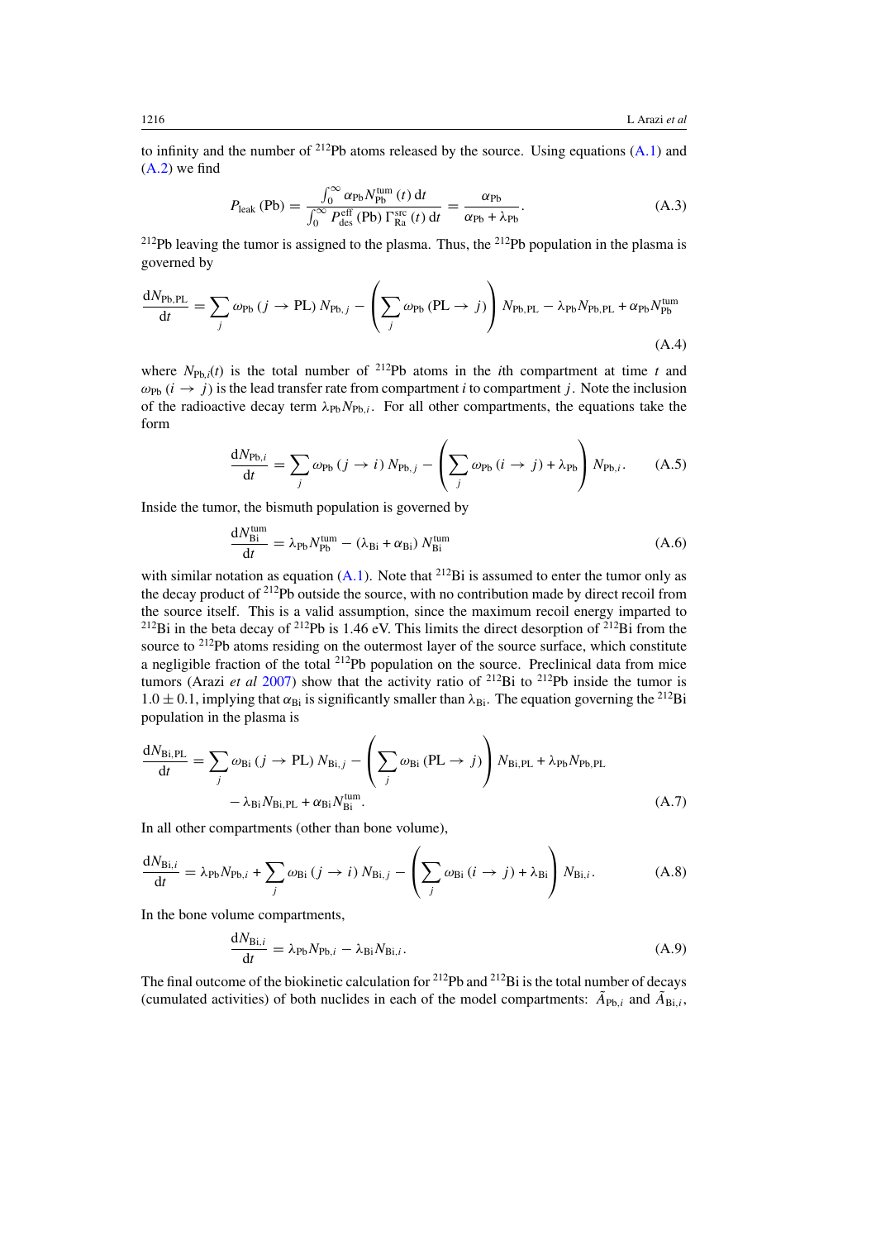to infinity and the number of 212Pb atoms released by the source. Using equations [\(A](#page-14-0)*.*1) and [\(A](#page-14-0)*.*2) we find

$$
P_{\text{leak}}\left(\text{Pb}\right) = \frac{\int_0^\infty \alpha_{\text{Pb}} N_{\text{Pb}}^{\text{tum}}\left(t\right) \, \mathrm{d}t}{\int_0^\infty P_{\text{des}}^{\text{eff}}\left(\text{Pb}\right) \Gamma_{\text{Ra}}^{\text{src}}\left(t\right) \, \mathrm{d}t} = \frac{\alpha_{\text{Pb}}}{\alpha_{\text{Pb}} + \lambda_{\text{Pb}}}.\tag{A.3}
$$

<sup>212</sup>Pb leaving the tumor is assigned to the plasma. Thus, the <sup>212</sup>Pb population in the plasma is governed by

$$
\frac{dN_{\text{Pb,PL}}}{dt} = \sum_{j} \omega_{\text{Pb}} \left( j \to \text{PL} \right) N_{\text{Pb},j} - \left( \sum_{j} \omega_{\text{Pb}} \left( \text{PL} \to j \right) \right) N_{\text{Pb,PL}} - \lambda_{\text{Pb}} N_{\text{Pb,PL}} + \alpha_{\text{Pb}} N_{\text{Pb}}^{\text{tum}} \tag{A.4}
$$

where  $N_{\text{Ph},i}(t)$  is the total number of <sup>212</sup>Pb atoms in the *i*th compartment at time *t* and  $\omega_{\text{Pb}}$   $(i \rightarrow j)$  is the lead transfer rate from compartment *i* to compartment *j*. Note the inclusion of the radioactive decay term  $\lambda_{Pb}N_{Pb,i}$ . For all other compartments, the equations take the form

$$
\frac{dN_{\text{Pb},i}}{dt} = \sum_{j} \omega_{\text{Pb}} (j \to i) N_{\text{Pb},j} - \left( \sum_{j} \omega_{\text{Pb}} (i \to j) + \lambda_{\text{Pb}} \right) N_{\text{Pb},i}.
$$
 (A.5)

Inside the tumor, the bismuth population is governed by

$$
\frac{dN_{\text{Bi}}^{\text{tum}}}{dt} = \lambda_{\text{Pb}} N_{\text{Pb}}^{\text{tum}} - (\lambda_{\text{Bi}} + \alpha_{\text{Bi}}) N_{\text{Bi}}^{\text{tum}} \tag{A.6}
$$

with similar notation as equation [\(A](#page-14-0).1). Note that <sup>212</sup>Bi is assumed to enter the tumor only as the decay product of 212Pb outside the source, with no contribution made by direct recoil from the source itself. This is a valid assumption, since the maximum recoil energy imparted to <sup>212</sup>Bi in the beta decay of <sup>212</sup>Pb is 1.46 eV. This limits the direct desorption of <sup>212</sup>Bi from the source to <sup>212</sup>Pb atoms residing on the outermost layer of the source surface, which constitute a negligible fraction of the total  $^{212}Pb$  population on the source. Preclinical data from mice tumors (Arazi *et al* [2007](#page-16-0)) show that the activity ratio of <sup>212</sup>Bi to <sup>212</sup>Pb inside the tumor is  $1.0 \pm 0.1$ , implying that  $\alpha_{\text{Bi}}$  is significantly smaller than  $\lambda_{\text{Bi}}$ . The equation governing the <sup>212</sup>Bi population in the plasma is

$$
\frac{dN_{\text{Bi,PL}}}{dt} = \sum_{j} \omega_{\text{Bi}} (j \to \text{PL}) N_{\text{Bi},j} - \left( \sum_{j} \omega_{\text{Bi}} (\text{PL} \to j) \right) N_{\text{Bi,PL}} + \lambda_{\text{Pb}} N_{\text{Pb,PL}} - \lambda_{\text{Bi}} N_{\text{Bi,PL}} + \alpha_{\text{Bi}} N_{\text{Bi}}^{\text{tum}}.
$$
\n(A.7)

In all other compartments (other than bone volume),

$$
\frac{dN_{\text{Bi},i}}{dt} = \lambda_{\text{Pb}} N_{\text{Pb},i} + \sum_{j} \omega_{\text{Bi}} (j \to i) N_{\text{Bi},j} - \left( \sum_{j} \omega_{\text{Bi}} (i \to j) + \lambda_{\text{Bi}} \right) N_{\text{Bi},i}.
$$
 (A.8)

In the bone volume compartments,

$$
\frac{dN_{\text{Bi},i}}{dt} = \lambda_{\text{Pb}} N_{\text{Pb},i} - \lambda_{\text{Bi}} N_{\text{Bi},i}.
$$
\n(A.9)

The final outcome of the biokinetic calculation for  $^{212}Pb$  and  $^{212}Bi$  is the total number of decays (cumulated activities) of both nuclides in each of the model compartments:  $\tilde{A}_{Pb,i}$  and  $\tilde{A}_{Bi,i}$ ,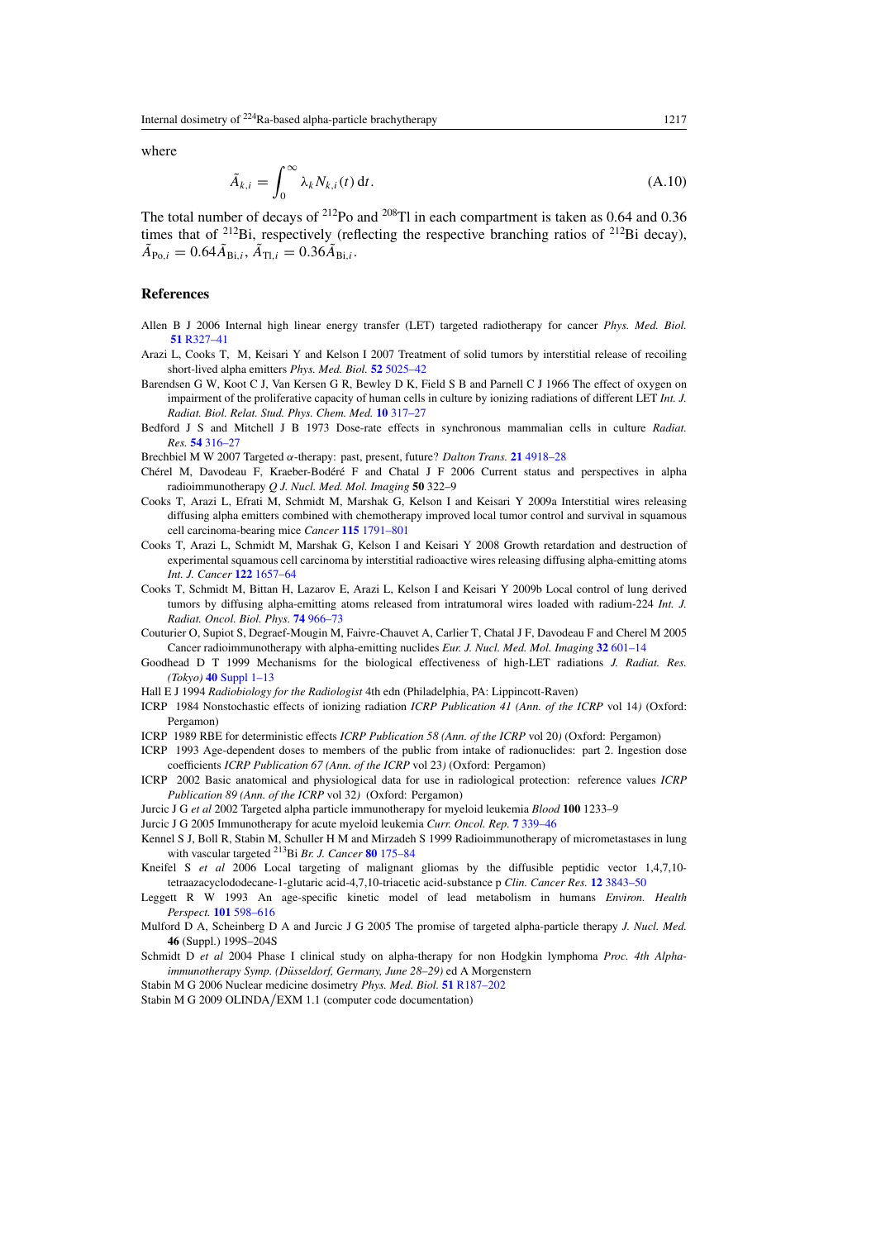<span id="page-16-0"></span>where

$$
\tilde{A}_{k,i} = \int_0^\infty \lambda_k N_{k,i}(t) \, \mathrm{d}t. \tag{A.10}
$$

The total number of decays of  $^{212}$ Po and  $^{208}$ Tl in each compartment is taken as 0.64 and 0.36 times that of <sup>212</sup>Bi, respectively (reflecting the respective branching ratios of <sup>212</sup>Bi decay),  $\tilde{A}_{\text{Po},i} = 0.64 \tilde{A}_{\text{Bi},i}, \tilde{A}_{\text{Ti},i} = 0.36 \tilde{A}_{\text{Bi},i}.$ 

## **References**

- Allen B J 2006 Internal high linear energy transfer (LET) targeted radiotherapy for cancer *Phys. Med. Biol.* **51** [R327–41](http://dx.doi.org/10.1088/0031-9155/51/13/R19)
- Arazi L, Cooks T, M, Keisari Y and Kelson I 2007 Treatment of solid tumors by interstitial release of recoiling short-lived alpha emitters *Phys. Med. Biol.* **52** [5025–42](http://dx.doi.org/10.1088/0031-9155/52/16/021)
- Barendsen G W, Koot C J, Van Kersen G R, Bewley D K, Field S B and Parnell C J 1966 The effect of oxygen on impairment of the proliferative capacity of human cells in culture by ionizing radiations of different LET *Int. J. Radiat. Biol. Relat. Stud. Phys. Chem. Med.* **10** [317–27](http://dx.doi.org/10.1080/09553006614550421)
- Bedford J S and Mitchell J B 1973 Dose-rate effects in synchronous mammalian cells in culture *Radiat. Res.* **54** [316–27](http://dx.doi.org/10.2307/3573709)
- Brechbiel M W 2007 Targeted *α*-therapy: past, present, future? *Dalton Trans.* **21** [4918–28](http://dx.doi.org/10.1039/b704726f)
- Chérel M, Davodeau F, Kraeber-Bodéré F and Chatal J F 2006 Current status and perspectives in alpha radioimmunotherapy *Q J. Nucl. Med. Mol. Imaging* **50** 322–9
- Cooks T, Arazi L, Efrati M, Schmidt M, Marshak G, Kelson I and Keisari Y 2009a Interstitial wires releasing diffusing alpha emitters combined with chemotherapy improved local tumor control and survival in squamous cell carcinoma-bearing mice *Cancer* **115** [1791–801](http://dx.doi.org/10.1002/cncr.24191)
- Cooks T, Arazi L, Schmidt M, Marshak G, Kelson I and Keisari Y 2008 Growth retardation and destruction of experimental squamous cell carcinoma by interstitial radioactive wires releasing diffusing alpha-emitting atoms *Int. J. Cancer* **122** [1657–64](http://dx.doi.org/10.1002/ijc.23268)
- Cooks T, Schmidt M, Bittan H, Lazarov E, Arazi L, Kelson I and Keisari Y 2009b Local control of lung derived tumors by diffusing alpha-emitting atoms released from intratumoral wires loaded with radium-224 *Int. J. Radiat. Oncol. Biol. Phys.* **74** [966–73](http://dx.doi.org/10.1016/j.ijrobp.2009.02.063)
- Couturier O, Supiot S, Degraef-Mougin M, Faivre-Chauvet A, Carlier T, Chatal J F, Davodeau F and Cherel M 2005 Cancer radioimmunotherapy with alpha-emitting nuclides *Eur. J. Nucl. Med. Mol. Imaging* **32** [601–14](http://dx.doi.org/10.1007/s00259-005-1803-2)
- Goodhead D T 1999 Mechanisms for the biological effectiveness of high-LET radiations *J. Radiat. Res. (Tokyo)* **40** [Suppl 1–13](http://dx.doi.org/10.1269/jrr.40.S1)
- Hall E J 1994 *Radiobiology for the Radiologist* 4th edn (Philadelphia, PA: Lippincott-Raven)
- ICRP 1984 Nonstochastic effects of ionizing radiation *ICRP Publication 41 (Ann. of the ICRP* vol 14*)* (Oxford: Pergamon)
- ICRP 1989 RBE for deterministic effects *ICRP Publication 58 (Ann. of the ICRP* vol 20*)* (Oxford: Pergamon)
- ICRP 1993 Age-dependent doses to members of the public from intake of radionuclides: part 2. Ingestion dose coefficients *ICRP Publication 67 (Ann. of the ICRP* vol 23*)* (Oxford: Pergamon)
- ICRP 2002 Basic anatomical and physiological data for use in radiological protection: reference values *ICRP Publication 89 (Ann. of the ICRP* vol 32*)* (Oxford: Pergamon)
- Jurcic J G *et al* 2002 Targeted alpha particle immunotherapy for myeloid leukemia *Blood* **100** 1233–9
- Jurcic J G 2005 Immunotherapy for acute myeloid leukemia *Curr. Oncol. Rep.* **7** [339–46](http://dx.doi.org/10.1007/s11912-005-0060-7)
- Kennel S J, Boll R, Stabin M, Schuller H M and Mirzadeh S 1999 Radioimmunotherapy of micrometastases in lung with vascular targeted 213Bi *Br. J. Cancer* **80** [175–84](http://dx.doi.org/10.1038/sj.bjc.6690337)
- Kneifel S *et al* 2006 Local targeting of malignant gliomas by the diffusible peptidic vector 1,4,7,10tetraazacyclododecane-1-glutaric acid-4,7,10-triacetic acid-substance p *Clin. Cancer Res.* **12** [3843–50](http://dx.doi.org/10.1158/1078-0432.CCR-05-2820)
- Leggett R W 1993 An age-specific kinetic model of lead metabolism in humans *Environ. Health Perspect.* **101** [598–616](http://dx.doi.org/10.2307/3431645)
- Mulford D A, Scheinberg D A and Jurcic J G 2005 The promise of targeted alpha-particle therapy *J. Nucl. Med.* **46** (Suppl.) 199S–204S
- Schmidt D *et al* 2004 Phase I clinical study on alpha-therapy for non Hodgkin lymphoma *Proc. 4th Alphaimmunotherapy Symp. (Düsseldorf, Germany, June 28-29)* ed A Morgenstern

Stabin M G 2006 Nuclear medicine dosimetry *Phys. Med. Biol.* **51** [R187–202](http://dx.doi.org/10.1088/0031-9155/51/13/R12)

Stabin M G 2009 OLINDA*/*EXM 1.1 (computer code documentation)